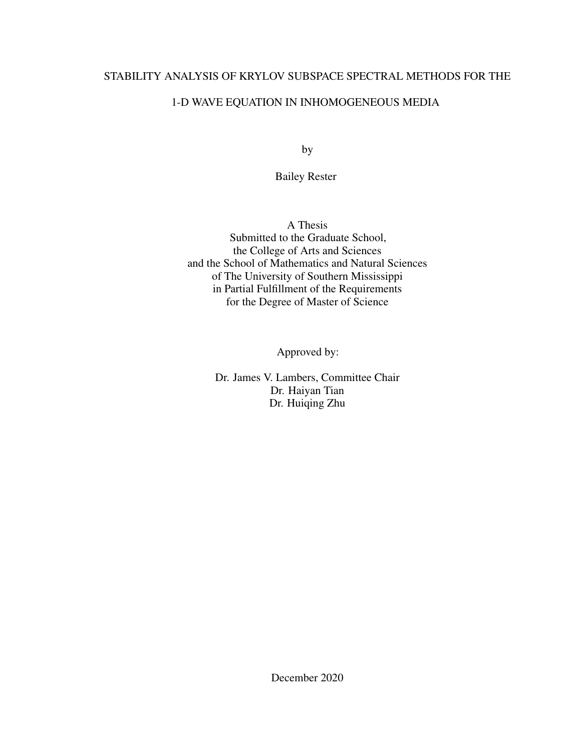## STABILITY ANALYSIS OF KRYLOV SUBSPACE SPECTRAL METHODS FOR THE

## 1-D WAVE EQUATION IN INHOMOGENEOUS MEDIA

by

Bailey Rester

A Thesis Submitted to the Graduate School, the College of Arts and Sciences and the School of Mathematics and Natural Sciences of The University of Southern Mississippi in Partial Fulfillment of the Requirements for the Degree of Master of Science

Approved by:

Dr. James V. Lambers, Committee Chair Dr. Haiyan Tian Dr. Huiqing Zhu

December 2020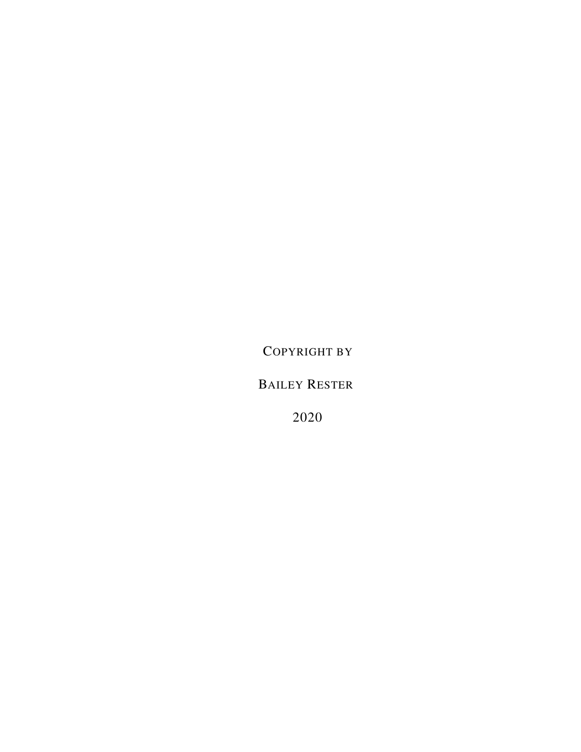COPYRIGHT BY

BAILEY RESTER

2020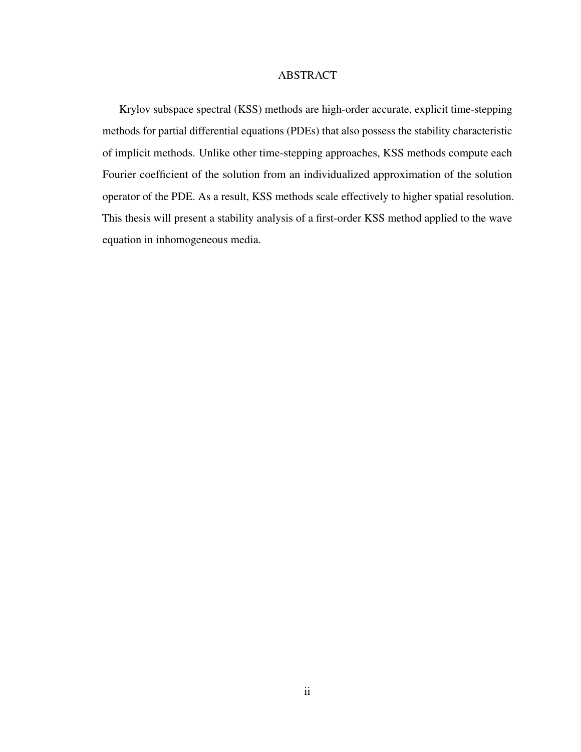#### ABSTRACT

Krylov subspace spectral (KSS) methods are high-order accurate, explicit time-stepping methods for partial differential equations (PDEs) that also possess the stability characteristic of implicit methods. Unlike other time-stepping approaches, KSS methods compute each Fourier coefficient of the solution from an individualized approximation of the solution operator of the PDE. As a result, KSS methods scale effectively to higher spatial resolution. This thesis will present a stability analysis of a first-order KSS method applied to the wave equation in inhomogeneous media.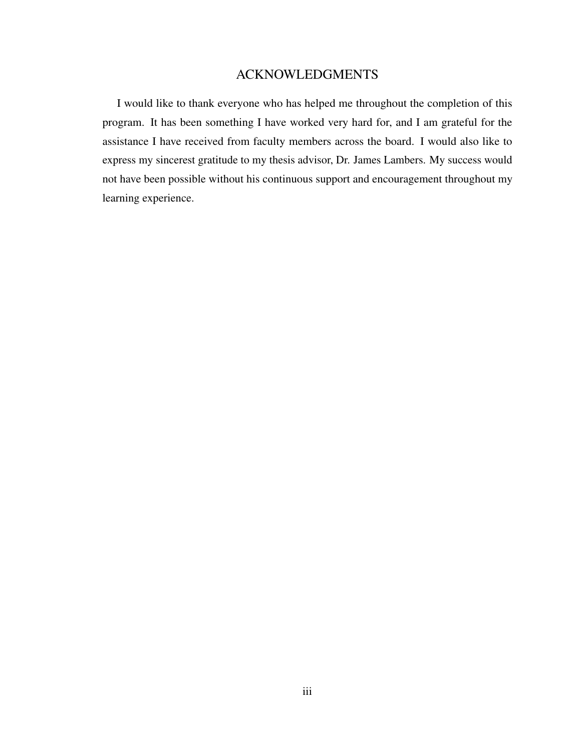## ACKNOWLEDGMENTS

I would like to thank everyone who has helped me throughout the completion of this program. It has been something I have worked very hard for, and I am grateful for the assistance I have received from faculty members across the board. I would also like to express my sincerest gratitude to my thesis advisor, Dr. James Lambers. My success would not have been possible without his continuous support and encouragement throughout my learning experience.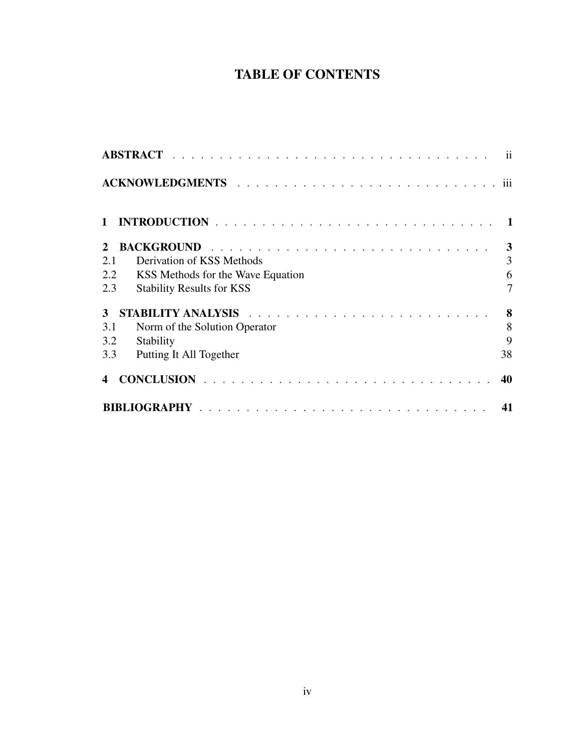## TABLE OF CONTENTS

| $\mathbf{1}$            |                                                                                                                                                                                                                                |                |  |
|-------------------------|--------------------------------------------------------------------------------------------------------------------------------------------------------------------------------------------------------------------------------|----------------|--|
| $2^{\circ}$             |                                                                                                                                                                                                                                |                |  |
| 2.1                     | Derivation of KSS Methods                                                                                                                                                                                                      | 3              |  |
| 2.2                     | <b>KSS</b> Methods for the Wave Equation                                                                                                                                                                                       | 6              |  |
| 2.3                     | <b>Stability Results for KSS</b>                                                                                                                                                                                               | $\overline{7}$ |  |
| 3 <sup>1</sup>          | STABILITY ANALYSIS (Contract of the contract of the state of the state of the state of the state of the state of the state of the state of the state of the state of the state of the state of the state of the state of the s | 8              |  |
| 3.1                     | Norm of the Solution Operator                                                                                                                                                                                                  | 8              |  |
| 3.2                     | Stability                                                                                                                                                                                                                      | 9              |  |
| 3.3                     | Putting It All Together                                                                                                                                                                                                        | 38             |  |
| $\overline{\mathbf{4}}$ |                                                                                                                                                                                                                                | 40             |  |
|                         |                                                                                                                                                                                                                                |                |  |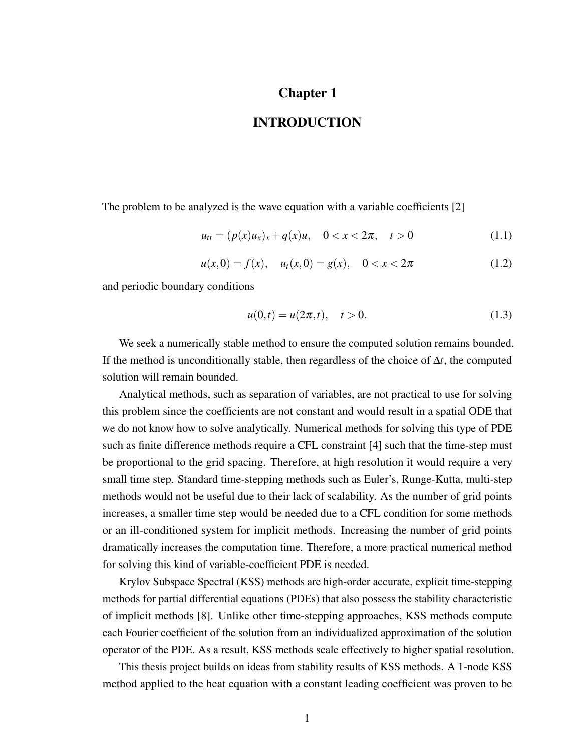### Chapter 1

## INTRODUCTION

<span id="page-5-0"></span>The problem to be analyzed is the wave equation with a variable coefficients [\[2\]](#page-45-0)

<span id="page-5-1"></span>
$$
u_{tt} = (p(x)u_x)_x + q(x)u, \quad 0 < x < 2\pi, \quad t > 0
$$
 (1.1)

<span id="page-5-2"></span>
$$
u(x,0) = f(x), \quad u_t(x,0) = g(x), \quad 0 < x < 2\pi \tag{1.2}
$$

and periodic boundary conditions

<span id="page-5-3"></span>
$$
u(0,t) = u(2\pi, t), \quad t > 0.
$$
 (1.3)

We seek a numerically stable method to ensure the computed solution remains bounded. If the method is unconditionally stable, then regardless of the choice of ∆*t*, the computed solution will remain bounded.

Analytical methods, such as separation of variables, are not practical to use for solving this problem since the coefficients are not constant and would result in a spatial ODE that we do not know how to solve analytically. Numerical methods for solving this type of PDE such as finite difference methods require a CFL constraint [\[4\]](#page-45-1) such that the time-step must be proportional to the grid spacing. Therefore, at high resolution it would require a very small time step. Standard time-stepping methods such as Euler's, Runge-Kutta, multi-step methods would not be useful due to their lack of scalability. As the number of grid points increases, a smaller time step would be needed due to a CFL condition for some methods or an ill-conditioned system for implicit methods. Increasing the number of grid points dramatically increases the computation time. Therefore, a more practical numerical method for solving this kind of variable-coefficient PDE is needed.

Krylov Subspace Spectral (KSS) methods are high-order accurate, explicit time-stepping methods for partial differential equations (PDEs) that also possess the stability characteristic of implicit methods [\[8\]](#page-45-2). Unlike other time-stepping approaches, KSS methods compute each Fourier coefficient of the solution from an individualized approximation of the solution operator of the PDE. As a result, KSS methods scale effectively to higher spatial resolution.

This thesis project builds on ideas from stability results of KSS methods. A 1-node KSS method applied to the heat equation with a constant leading coefficient was proven to be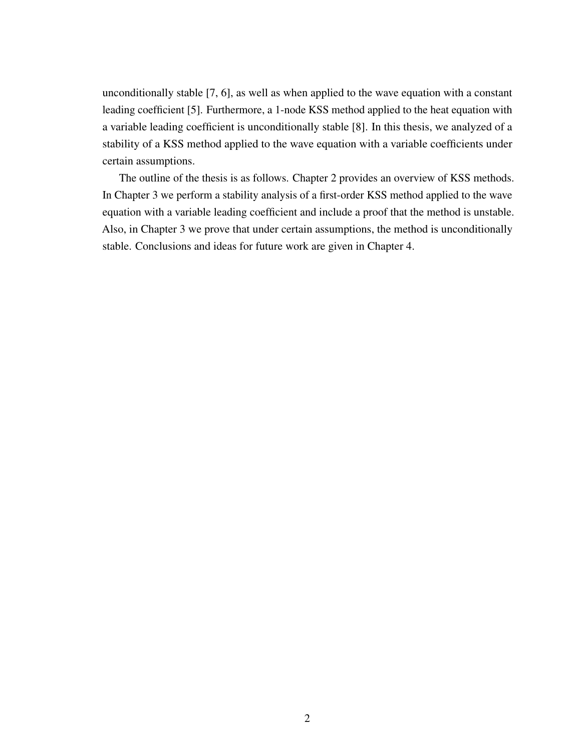unconditionally stable [\[7,](#page-45-3) [6\]](#page-45-4), as well as when applied to the wave equation with a constant leading coefficient [\[5\]](#page-45-5). Furthermore, a 1-node KSS method applied to the heat equation with a variable leading coefficient is unconditionally stable [\[8\]](#page-45-2). In this thesis, we analyzed of a stability of a KSS method applied to the wave equation with a variable coefficients under certain assumptions.

The outline of the thesis is as follows. Chapter 2 provides an overview of KSS methods. In Chapter 3 we perform a stability analysis of a first-order KSS method applied to the wave equation with a variable leading coefficient and include a proof that the method is unstable. Also, in Chapter 3 we prove that under certain assumptions, the method is unconditionally stable. Conclusions and ideas for future work are given in Chapter 4.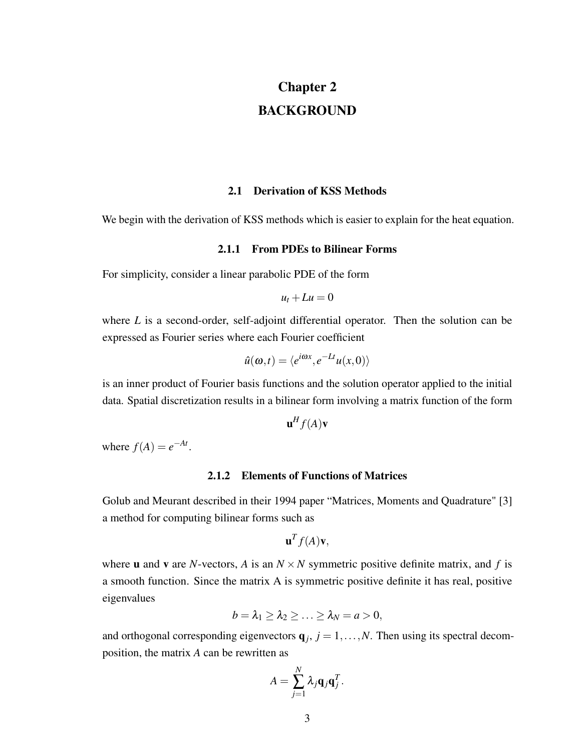# Chapter 2 **BACKGROUND**

#### 2.1 Derivation of KSS Methods

<span id="page-7-1"></span><span id="page-7-0"></span>We begin with the derivation of KSS methods which is easier to explain for the heat equation.

#### 2.1.1 From PDEs to Bilinear Forms

For simplicity, consider a linear parabolic PDE of the form

$$
u_t + Lu = 0
$$

where *L* is a second-order, self-adjoint differential operator. Then the solution can be expressed as Fourier series where each Fourier coefficient

$$
\hat{u}(\omega,t) = \langle e^{i\omega x}, e^{-Lt}u(x,0) \rangle
$$

is an inner product of Fourier basis functions and the solution operator applied to the initial data. Spatial discretization results in a bilinear form involving a matrix function of the form

$$
\mathbf{u}^H f(A) \mathbf{v}
$$

where  $f(A) = e^{-At}$ .

#### 2.1.2 Elements of Functions of Matrices

Golub and Meurant described in their 1994 paper "Matrices, Moments and Quadrature" [\[3\]](#page-45-6) a method for computing bilinear forms such as

$$
\mathbf{u}^T f(A)\mathbf{v},
$$

where **u** and **v** are *N*-vectors, *A* is an  $N \times N$  symmetric positive definite matrix, and *f* is a smooth function. Since the matrix A is symmetric positive definite it has real, positive eigenvalues

$$
b=\lambda_1\geq \lambda_2\geq \ldots \geq \lambda_N=a>0,
$$

and orthogonal corresponding eigenvectors  $q_j$ ,  $j = 1,...,N$ . Then using its spectral decomposition, the matrix *A* can be rewritten as

$$
A=\sum_{j=1}^N\lambda_j\mathbf{q}_j\mathbf{q}_j^T.
$$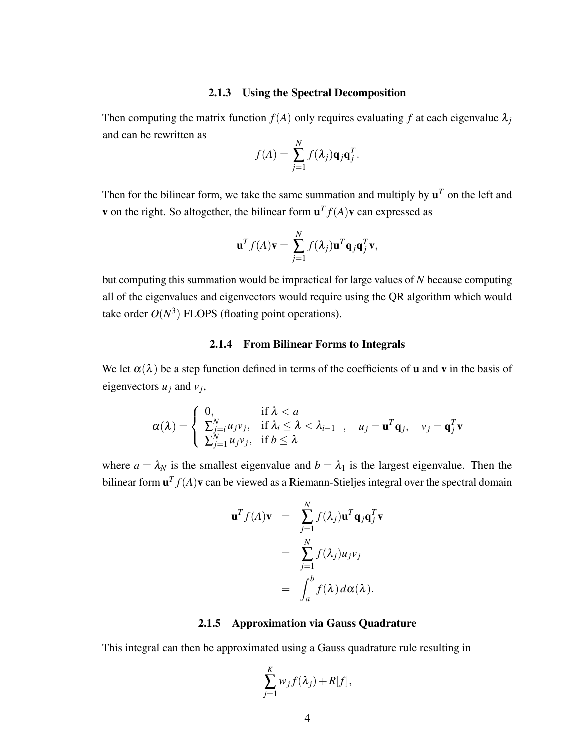#### 2.1.3 Using the Spectral Decomposition

Then computing the matrix function  $f(A)$  only requires evaluating  $f$  at each eigenvalue  $\lambda_j$ and can be rewritten as

$$
f(A) = \sum_{j=1}^{N} f(\lambda_j) \mathbf{q}_j \mathbf{q}_j^T.
$$

Then for the bilinear form, we take the same summation and multiply by  $\mathbf{u}^T$  on the left and **v** on the right. So altogether, the bilinear form  $\mathbf{u}^T f(A) \mathbf{v}$  can expressed as

$$
\mathbf{u}^T f(A)\mathbf{v} = \sum_{j=1}^N f(\lambda_j) \mathbf{u}^T \mathbf{q}_j \mathbf{q}_j^T \mathbf{v},
$$

but computing this summation would be impractical for large values of *N* because computing all of the eigenvalues and eigenvectors would require using the QR algorithm which would take order  $O(N^3)$  FLOPS (floating point operations).

#### 2.1.4 From Bilinear Forms to Integrals

We let  $\alpha(\lambda)$  be a step function defined in terms of the coefficients of **u** and **v** in the basis of eigenvectors  $u_j$  and  $v_j$ ,

$$
\alpha(\lambda) = \begin{cases} 0, & \text{if } \lambda < a \\ \sum_{j=i}^N u_j v_j, & \text{if } \lambda_i \leq \lambda < \lambda_{i-1} \\ \sum_{j=1}^N u_j v_j, & \text{if } b \leq \lambda \end{cases}, \quad u_j = \mathbf{u}^T \mathbf{q}_j, \quad v_j = \mathbf{q}_j^T \mathbf{v}
$$

where  $a = \lambda_N$  is the smallest eigenvalue and  $b = \lambda_1$  is the largest eigenvalue. Then the bilinear form  $\mathbf{u}^T f(A)$ v can be viewed as a Riemann-Stieljes integral over the spectral domain

$$
\mathbf{u}^T f(A) \mathbf{v} = \sum_{j=1}^N f(\lambda_j) \mathbf{u}^T \mathbf{q}_j \mathbf{q}_j^T \mathbf{v}
$$
  
= 
$$
\sum_{j=1}^N f(\lambda_j) u_j v_j
$$
  
= 
$$
\int_a^b f(\lambda) d\alpha(\lambda).
$$

#### 2.1.5 Approximation via Gauss Quadrature

This integral can then be approximated using a Gauss quadrature rule resulting in

$$
\sum_{j=1}^K w_j f(\lambda_j) + R[f],
$$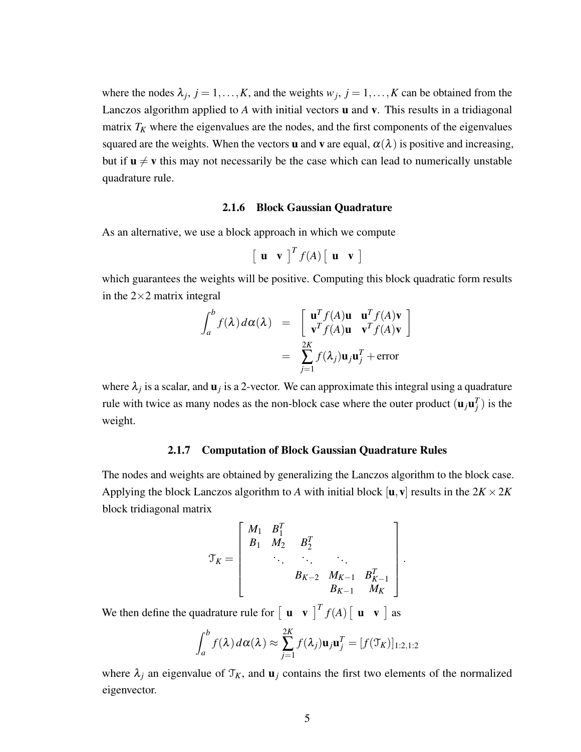where the nodes  $\lambda_j$ ,  $j = 1, ..., K$ , and the weights  $w_j$ ,  $j = 1, ..., K$  can be obtained from the Lanczos algorithm applied to *A* with initial vectors u and v. This results in a tridiagonal matrix  $T_K$  where the eigenvalues are the nodes, and the first components of the eigenvalues squared are the weights. When the vectors **u** and **v** are equal,  $\alpha(\lambda)$  is positive and increasing, but if  $u \neq v$  this may not necessarily be the case which can lead to numerically unstable quadrature rule.

#### 2.1.6 Block Gaussian Quadrature

As an alternative, we use a block approach in which we compute

$$
\begin{bmatrix} \mathbf{u} & \mathbf{v} \end{bmatrix}^T f(A) \begin{bmatrix} \mathbf{u} & \mathbf{v} \end{bmatrix}
$$

which guarantees the weights will be positive. Computing this block quadratic form results in the  $2\times 2$  matrix integral

$$
\int_{a}^{b} f(\lambda) d\alpha(\lambda) = \begin{bmatrix} \mathbf{u}^{T} f(A) \mathbf{u} & \mathbf{u}^{T} f(A) \mathbf{v} \\ \mathbf{v}^{T} f(A) \mathbf{u} & \mathbf{v}^{T} f(A) \mathbf{v} \end{bmatrix}
$$

$$
= \sum_{j=1}^{2K} f(\lambda_{j}) \mathbf{u}_{j} \mathbf{u}_{j}^{T} + \text{error}
$$

where  $\lambda_j$  is a scalar, and  $\mathbf{u}_j$  is a 2-vector. We can approximate this integral using a quadrature rule with twice as many nodes as the non-block case where the outer product  $(\mathbf{u}_j \mathbf{u}_j^T)$  is the weight.

#### 2.1.7 Computation of Block Gaussian Quadrature Rules

The nodes and weights are obtained by generalizing the Lanczos algorithm to the block case. Applying the block Lanczos algorithm to A with initial block  $[\mathbf{u}, \mathbf{v}]$  results in the  $2K \times 2K$ block tridiagonal matrix

$$
\mathfrak{T}_K = \left[ \begin{array}{cccc} M_1 & B_1^T & & & \\ B_1 & M_2 & B_2^T & & \\ & \ddots & \ddots & \ddots & \\ & & B_{K-2} & M_{K-1} & B_{K-1}^T \\ & & & B_{K-1} & M_K \end{array} \right]
$$

.

We then define the quadrature rule for  $\begin{bmatrix} \mathbf{u} & \mathbf{v} \end{bmatrix}^T f(A) \begin{bmatrix} \mathbf{u} & \mathbf{v} \end{bmatrix}$  as

$$
\int_a^b f(\lambda) d\alpha(\lambda) \approx \sum_{j=1}^{2K} f(\lambda_j) \mathbf{u}_j \mathbf{u}_j^T = [f(\mathcal{T}_K)]_{1:2,1:2}
$$

where  $\lambda_j$  an eigenvalue of  $\mathcal{T}_K$ , and  $\mathbf{u}_j$  contains the first two elements of the normalized eigenvector.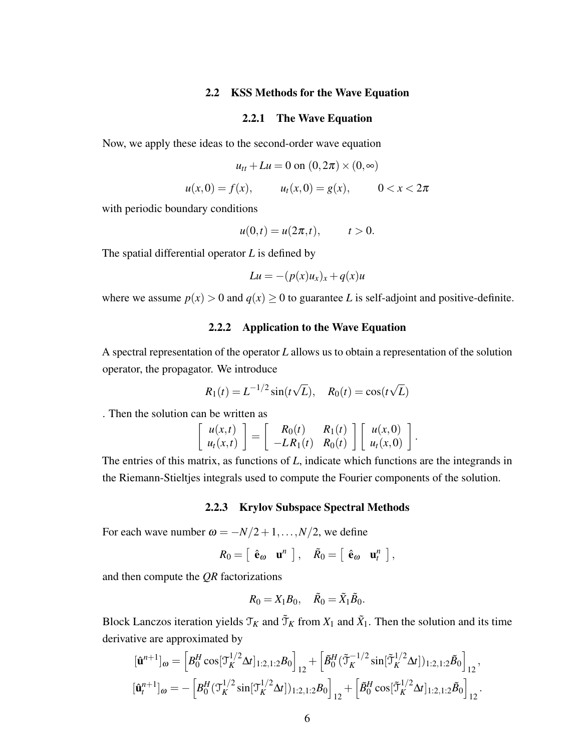#### 2.2 KSS Methods for the Wave Equation

#### 2.2.1 The Wave Equation

<span id="page-10-0"></span>Now, we apply these ideas to the second-order wave equation

$$
u_{tt} + Lu = 0 \text{ on } (0, 2\pi) \times (0, \infty)
$$

$$
u(x, 0) = f(x),
$$
  $u_t(x, 0) = g(x),$   $0 < x < 2\pi$ 

with periodic boundary conditions

$$
u(0,t) = u(2\pi,t), \qquad t > 0.
$$

The spatial differential operator *L* is defined by

$$
Lu = -(p(x)u_x)_x + q(x)u
$$

where we assume  $p(x) > 0$  and  $q(x) \ge 0$  to guarantee *L* is self-adjoint and positive-definite.

#### 2.2.2 Application to the Wave Equation

A spectral representation of the operator *L* allows us to obtain a representation of the solution operator, the propagator. We introduce

$$
R_1(t) = L^{-1/2} \sin(t\sqrt{L}), \quad R_0(t) = \cos(t\sqrt{L})
$$

. Then the solution can be written as

$$
\left[\begin{array}{c}u(x,t)\\u_t(x,t)\end{array}\right]=\left[\begin{array}{cc}R_0(t)&R_1(t)\\-LR_1(t)&R_0(t)\end{array}\right]\left[\begin{array}{c}u(x,0)\\u_t(x,0)\end{array}\right].
$$

The entries of this matrix, as functions of *L*, indicate which functions are the integrands in the Riemann-Stieltjes integrals used to compute the Fourier components of the solution.

## 2.2.3 Krylov Subspace Spectral Methods

For each wave number  $\omega = -N/2+1,\ldots,N/2$ , we define

$$
R_0 = \left[ \begin{array}{cc} \hat{\mathbf{e}}_{\omega} & \mathbf{u}^n \end{array} \right], \quad \tilde{R}_0 = \left[ \begin{array}{cc} \hat{\mathbf{e}}_{\omega} & \mathbf{u}_t^n \end{array} \right],
$$

and then compute the *QR* factorizations

$$
R_0 = X_1 B_0, \quad \tilde{R}_0 = \tilde{X}_1 \tilde{B}_0.
$$

Block Lanczos iteration yields  $\mathcal{T}_K$  and  $\tilde{\mathcal{T}}_K$  from  $X_1$  and  $\tilde{X}_1$ . Then the solution and its time derivative are approximated by

$$
\begin{aligned}\n[\hat{\mathbf{u}}^{n+1}]_{\omega} &= \left[ B_0^H \cos[\mathfrak{T}_K^{1/2} \Delta t]_{1:2,1:2} B_0 \right]_{12} + \left[ \tilde{B}_0^H (\tilde{\mathfrak{T}}_K^{-1/2} \sin[\tilde{\mathfrak{T}}_K^{1/2} \Delta t])_{1:2,1:2} \tilde{B}_0 \right]_{12}, \\
[\hat{\mathbf{u}}_t^{n+1}]_{\omega} &= -\left[ B_0^H (\mathfrak{T}_K^{1/2} \sin[\mathfrak{T}_K^{1/2} \Delta t])_{1:2,1:2} B_0 \right]_{12} + \left[ \tilde{B}_0^H \cos[\tilde{\mathfrak{T}}_K^{1/2} \Delta t]_{1:2,1:2} \tilde{B}_0 \right]_{12}.\n\end{aligned}
$$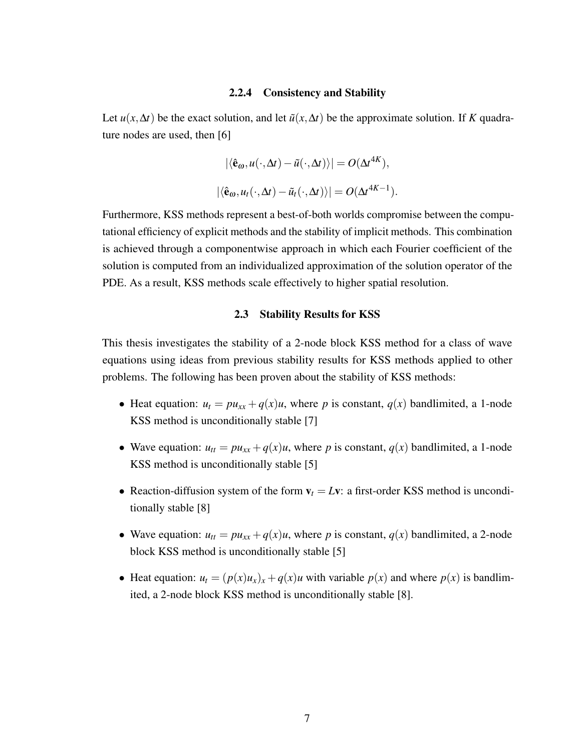#### 2.2.4 Consistency and Stability

Let  $u(x, \Delta t)$  be the exact solution, and let  $\tilde{u}(x, \Delta t)$  be the approximate solution. If *K* quadrature nodes are used, then [\[6\]](#page-45-4)

$$
|\langle \hat{\mathbf{e}}_{\omega}, u(\cdot, \Delta t) - \tilde{u}(\cdot, \Delta t) \rangle| = O(\Delta t^{4K}),
$$
  

$$
|\langle \hat{\mathbf{e}}_{\omega}, u_t(\cdot, \Delta t) - \tilde{u}_t(\cdot, \Delta t) \rangle| = O(\Delta t^{4K-1}).
$$

Furthermore, KSS methods represent a best-of-both worlds compromise between the computational efficiency of explicit methods and the stability of implicit methods. This combination is achieved through a componentwise approach in which each Fourier coefficient of the solution is computed from an individualized approximation of the solution operator of the PDE. As a result, KSS methods scale effectively to higher spatial resolution.

#### 2.3 Stability Results for KSS

<span id="page-11-0"></span>This thesis investigates the stability of a 2-node block KSS method for a class of wave equations using ideas from previous stability results for KSS methods applied to other problems. The following has been proven about the stability of KSS methods:

- Heat equation:  $u_t = pu_{xx} + q(x)u$ , where p is constant,  $q(x)$  bandlimited, a 1-node KSS method is unconditionally stable [\[7\]](#page-45-3)
- Wave equation:  $u_{tt} = pu_{xx} + q(x)u$ , where p is constant,  $q(x)$  bandlimited, a 1-node KSS method is unconditionally stable [\[5\]](#page-45-5)
- Reaction-diffusion system of the form  $v_t = Lv$ : a first-order KSS method is unconditionally stable [\[8\]](#page-45-2)
- Wave equation:  $u_{tt} = pu_{xx} + q(x)u$ , where p is constant,  $q(x)$  bandlimited, a 2-node block KSS method is unconditionally stable [\[5\]](#page-45-5)
- Heat equation:  $u_t = (p(x)u_x)_x + q(x)u$  with variable  $p(x)$  and where  $p(x)$  is bandlimited, a 2-node block KSS method is unconditionally stable [\[8\]](#page-45-2).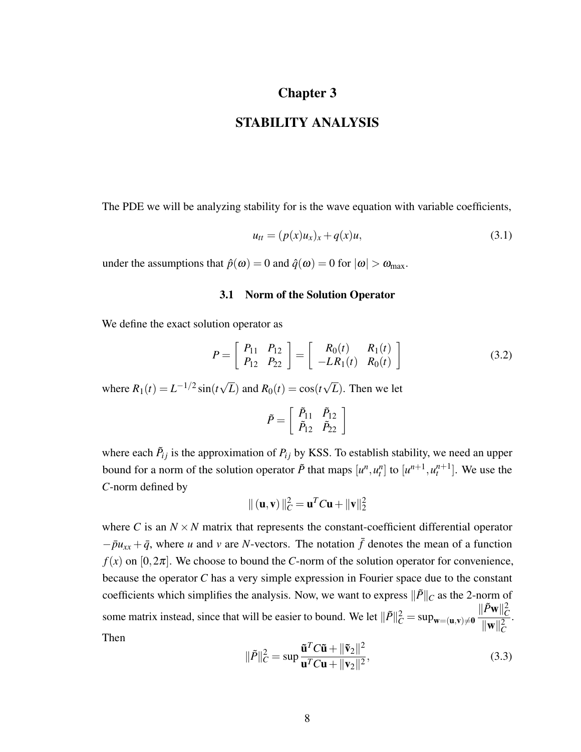## Chapter 3

## STABILITY ANALYSIS

<span id="page-12-0"></span>The PDE we will be analyzing stability for is the wave equation with variable coefficients,

$$
u_{tt} = (p(x)u_x)_x + q(x)u, \t\t(3.1)
$$

<span id="page-12-1"></span>under the assumptions that  $\hat{p}(\omega) = 0$  and  $\hat{q}(\omega) = 0$  for  $|\omega| > \omega_{\text{max}}$ .

#### 3.1 Norm of the Solution Operator

We define the exact solution operator as

$$
P = \left[ \begin{array}{cc} P_{11} & P_{12} \\ P_{12} & P_{22} \end{array} \right] = \left[ \begin{array}{cc} R_0(t) & R_1(t) \\ -LR_1(t) & R_0(t) \end{array} \right] \tag{3.2}
$$

where  $R_1(t) = L^{-1/2} \sin(t)$ √  $(L)$  and  $R_0(t) = \cos(t)$ √ *L*). Then we let

$$
\tilde{P} = \left[ \begin{array}{cc} \tilde{P}_{11} & \tilde{P}_{12} \\ \tilde{P}_{12} & \tilde{P}_{22} \end{array} \right]
$$

where each  $\tilde{P}_{ij}$  is the approximation of  $P_{ij}$  by KSS. To establish stability, we need an upper bound for a norm of the solution operator  $\tilde{P}$  that maps  $[u^n, u_t^n]$  to  $[u^{n+1}, u_t^{n+1}]$ . We use the *C*-norm defined by

$$
\| (u, v) \|_{C}^{2} = u^{T} C u + \| v \|_{2}^{2}
$$

where *C* is an  $N \times N$  matrix that represents the constant-coefficient differential operator  $-\bar{p}u_{xx} + \bar{q}$ , where *u* and *v* are *N*-vectors. The notation  $\bar{f}$  denotes the mean of a function  $f(x)$  on [0,2 $\pi$ ]. We choose to bound the *C*-norm of the solution operator for convenience, because the operator *C* has a very simple expression in Fourier space due to the constant coefficients which simplifies the analysis. Now, we want to express  $\|\tilde{P}\|_C$  as the 2-norm of some matrix instead, since that will be easier to bound. We let  $\|\tilde{P}\|^2_C = \sup_{w=(u,v)\neq 0}$  $\|\tilde{P}$ **w** $\|_C^2$  $\|\mathbf{w}\|_{C}^2$ . Then

$$
\|\tilde{P}\|_{C}^{2} = \sup \frac{\tilde{\mathbf{u}}^{T} C \tilde{\mathbf{u}} + \|\tilde{\mathbf{v}}_{2}\|^{2}}{\mathbf{u}^{T} C \mathbf{u} + \|\mathbf{v}_{2}\|^{2}},
$$
\n(3.3)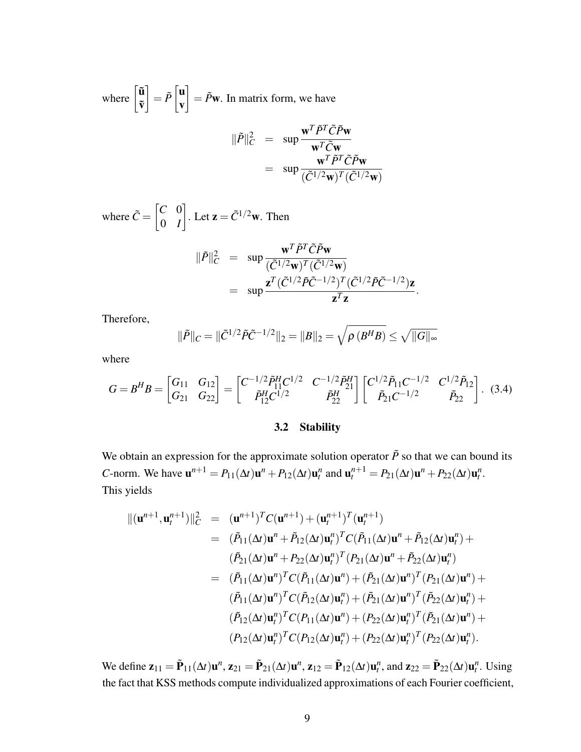where  $\begin{bmatrix} \tilde{\mathbf{u}} \\ \tilde{\mathbf{w}} \end{bmatrix}$ v˜  $\bar{P} = \tilde{P} \begin{bmatrix} \mathbf{u} \\ \mathbf{v} \end{bmatrix}$ v  $\bar{P} = \tilde{P}$ **w**. In matrix form, we have

$$
\|\tilde{P}\|_{C}^{2} = \sup \frac{\mathbf{w}^{T} \tilde{P}^{T} \tilde{C} \tilde{P} \mathbf{w}}{\mathbf{w}^{T} \tilde{C} \mathbf{w}}
$$

$$
= \sup \frac{\mathbf{w}^{T} \tilde{P}^{T} \tilde{C} \tilde{P} \mathbf{w}}{(\tilde{C}^{1/2} \mathbf{w})^{T} (\tilde{C}^{1/2} \mathbf{w})}
$$

where  $\tilde{C} = \begin{bmatrix} C & 0 \\ 0 & I \end{bmatrix}$ 0 *I* . Let  $\mathbf{z} = \tilde{C}^{1/2}\mathbf{w}$ . Then

$$
\|\tilde{P}\|_{C}^{2} = \sup \frac{\mathbf{w}^{T} \tilde{P}^{T} \tilde{C} \tilde{P} \mathbf{w}}{(\tilde{C}^{1/2} \mathbf{w})^{T} (\tilde{C}^{1/2} \mathbf{w})}
$$
  
= 
$$
\sup \frac{\mathbf{z}^{T} (\tilde{C}^{1/2} \tilde{P} \tilde{C}^{-1/2})^{T} (\tilde{C}^{1/2} \tilde{P} \tilde{C}^{-1/2}) \mathbf{z}}{\mathbf{z}^{T} \mathbf{z}}.
$$

Therefore,

$$
\|\tilde{P}\|_C = \|\tilde{C}^{1/2}\tilde{P}\tilde{C}^{-1/2}\|_2 = \|B\|_2 = \sqrt{\rho(B^H B)} \le \sqrt{\|G\|_{\infty}}
$$

where

<span id="page-13-1"></span>
$$
G = B^H B = \begin{bmatrix} G_{11} & G_{12} \\ G_{21} & G_{22} \end{bmatrix} = \begin{bmatrix} C^{-1/2} \tilde{P}_{11}^H C^{1/2} & C^{-1/2} \tilde{P}_{21}^H \\ \tilde{P}_{12}^H C^{1/2} & \tilde{P}_{22}^H \end{bmatrix} \begin{bmatrix} C^{1/2} \tilde{P}_{11} C^{-1/2} & C^{1/2} \tilde{P}_{12} \\ \tilde{P}_{21} C^{-1/2} & \tilde{P}_{22} \end{bmatrix} . \tag{3.4}
$$

#### 3.2 Stability

<span id="page-13-0"></span>We obtain an expression for the approximate solution operator  $\tilde{P}$  so that we can bound its *C*-norm. We have  $\mathbf{u}^{n+1} = P_{11}(\Delta t)\mathbf{u}^n + P_{12}(\Delta t)\mathbf{u}^n_t$  and  $\mathbf{u}^{n+1} = P_{21}(\Delta t)\mathbf{u}^n + P_{22}(\Delta t)\mathbf{u}^n_t$ . This yields

$$
\begin{array}{lll}\n\|(\mathbf{u}^{n+1}, \mathbf{u}^{n+1}_{t})\|_{C}^{2} & = & (\mathbf{u}^{n+1})^{T} C(\mathbf{u}^{n+1}) + (\mathbf{u}^{n+1}_{t})^{T} (\mathbf{u}^{n+1}_{t}) \\
& = & (\tilde{P}_{11}(\Delta t)\mathbf{u}^{n} + \tilde{P}_{12}(\Delta t)\mathbf{u}^{n})^{T} C(\tilde{P}_{11}(\Delta t)\mathbf{u}^{n} + \tilde{P}_{12}(\Delta t)\mathbf{u}^{n}) + \\
& (\tilde{P}_{21}(\Delta t)\mathbf{u}^{n} + P_{22}(\Delta t)\mathbf{u}^{n})^{T} (P_{21}(\Delta t)\mathbf{u}^{n} + \tilde{P}_{22}(\Delta t)\mathbf{u}^{n}) \\
& = & (\tilde{P}_{11}(\Delta t)\mathbf{u}^{n})^{T} C(\tilde{P}_{11}(\Delta t)\mathbf{u}^{n}) + (\tilde{P}_{21}(\Delta t)\mathbf{u}^{n})^{T} (P_{21}(\Delta t)\mathbf{u}^{n}) + \\
& (\tilde{P}_{11}(\Delta t)\mathbf{u}^{n})^{T} C(\tilde{P}_{12}(\Delta t)\mathbf{u}^{n}) + (\tilde{P}_{21}(\Delta t)\mathbf{u}^{n})^{T} (\tilde{P}_{22}(\Delta t)\mathbf{u}^{n}) + \\
& (\tilde{P}_{12}(\Delta t)\mathbf{u}^{n})^{T} C(P_{11}(\Delta t)\mathbf{u}^{n}) + (P_{22}(\Delta t)\mathbf{u}^{n})^{T} (\tilde{P}_{21}(\Delta t)\mathbf{u}^{n}) + \\
& (P_{12}(\Delta t)\mathbf{u}^{n})^{T} C(P_{12}(\Delta t)\mathbf{u}^{n}) + (P_{22}(\Delta t)\mathbf{u}^{n})^{T} (P_{22}(\Delta t)\mathbf{u}^{n}).\n\end{array}
$$

We define  $\mathbf{z}_{11} = \tilde{\mathbf{P}}_{11}(\Delta t)\mathbf{u}^n$ ,  $\mathbf{z}_{21} = \tilde{\mathbf{P}}_{21}(\Delta t)\mathbf{u}^n$ ,  $\mathbf{z}_{12} = \tilde{\mathbf{P}}_{12}(\Delta t)\mathbf{u}^n_t$ , and  $\mathbf{z}_{22} = \tilde{\mathbf{P}}_{22}(\Delta t)\mathbf{u}^n_t$ . Using the fact that KSS methods compute individualized approximations of each Fourier coefficient,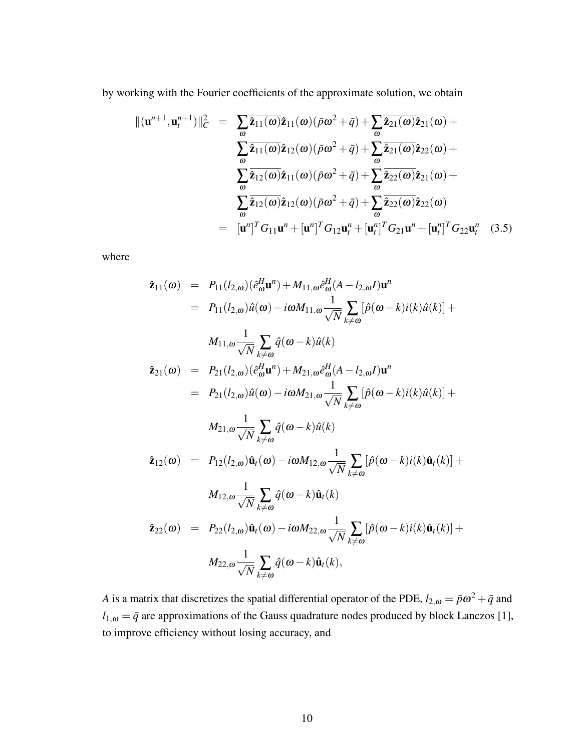by working with the Fourier coefficients of the approximate solution, we obtain

<span id="page-14-0"></span>
$$
\|(\mathbf{u}^{n+1}, \mathbf{u}_t^{n+1})\|_C^2 = \sum_{\omega} \overline{\hat{\mathbf{z}}_{11}(\omega)} \hat{\mathbf{z}}_{11}(\omega) (\bar{p}\omega^2 + \bar{q}) + \sum_{\omega} \overline{\hat{\mathbf{z}}_{21}(\omega)} \hat{\mathbf{z}}_{21}(\omega) +
$$

$$
\sum_{\omega} \overline{\hat{\mathbf{z}}_{11}(\omega)} \hat{\mathbf{z}}_{12}(\omega) (\bar{p}\omega^2 + \bar{q}) + \sum_{\omega} \overline{\hat{\mathbf{z}}_{21}(\omega)} \hat{\mathbf{z}}_{22}(\omega) +
$$

$$
\sum_{\omega} \overline{\hat{\mathbf{z}}_{12}(\omega)} \hat{\mathbf{z}}_{11}(\omega) (\bar{p}\omega^2 + \bar{q}) + \sum_{\omega} \overline{\hat{\mathbf{z}}_{22}(\omega)} \hat{\mathbf{z}}_{21}(\omega) +
$$

$$
\sum_{\omega} \overline{\hat{\mathbf{z}}_{12}(\omega)} \hat{\mathbf{z}}_{12}(\omega) (\bar{p}\omega^2 + \bar{q}) + \sum_{\omega} \overline{\hat{\mathbf{z}}_{22}(\omega)} \hat{\mathbf{z}}_{22}(\omega)
$$

$$
= [\mathbf{u}^n]^T G_{11} \mathbf{u}^n + [\mathbf{u}^n]^T G_{12} \mathbf{u}^n + [\mathbf{u}_1^n]^T G_{21} \mathbf{u}^n + [\mathbf{u}_1^n]^T G_{22} \mathbf{u}^n \qquad (3.5)
$$

where

$$
\hat{\mathbf{z}}_{11}(\omega) = P_{11}(l_{2,\omega})(\hat{e}_{\omega}^{H}\mathbf{u}^{n}) + M_{11,\omega}\hat{e}_{\omega}^{H}(A - l_{2,\omega}I)\mathbf{u}^{n}
$$
\n
$$
= P_{11}(l_{2,\omega})\hat{u}(\omega) - i\omega M_{11,\omega}\frac{1}{\sqrt{N}}\sum_{k\neq\omega}[\hat{p}(\omega-k)i(k)\hat{u}(k)] + M_{11,\omega}\frac{1}{\sqrt{N}}\sum_{k\neq\omega}\hat{q}(\omega-k)\hat{u}(k)
$$
\n
$$
\hat{\mathbf{z}}_{21}(\omega) = P_{21}(l_{2,\omega})(\hat{e}_{\omega}^{H}\mathbf{u}^{n}) + M_{21,\omega}\hat{e}_{\omega}^{H}(A - l_{2,\omega}I)\mathbf{u}^{n}
$$
\n
$$
= P_{21}(l_{2,\omega})\hat{u}(\omega) - i\omega M_{21,\omega}\frac{1}{\sqrt{N}}\sum_{k\neq\omega}[\hat{p}(\omega-k)i(k)\hat{u}(k)] + M_{21,\omega}\frac{1}{\sqrt{N}}\sum_{k\neq\omega}\hat{q}(\omega-k)\hat{u}(k)
$$
\n
$$
\hat{\mathbf{z}}_{12}(\omega) = P_{12}(l_{2,\omega})\hat{\mathbf{u}}_{t}(\omega) - i\omega M_{12,\omega}\frac{1}{\sqrt{N}}\sum_{k\neq\omega}[\hat{p}(\omega-k)i(k)\hat{\mathbf{u}}_{t}(k)] + M_{12,\omega}\frac{1}{\sqrt{N}}\sum_{k\neq\omega}\hat{q}(\omega-k)\hat{\mathbf{u}}_{t}(k)
$$
\n
$$
\hat{\mathbf{z}}_{22}(\omega) = P_{22}(l_{2,\omega})\hat{\mathbf{u}}_{t}(\omega) - i\omega M_{22,\omega}\frac{1}{\sqrt{N}}\sum_{k\neq\omega}[\hat{p}(\omega-k)i(k)\hat{\mathbf{u}}_{t}(k)] + M_{22,\omega}\frac{1}{\sqrt{N}}\sum_{k\neq\omega}\hat{q}(\omega-k)\hat{\mathbf{u}}_{t}(k),
$$

*A* is a matrix that discretizes the spatial differential operator of the PDE,  $l_{2,\omega} = \bar{p}\omega^2 + \bar{q}$  and  $l_{1,\omega} = \bar{q}$  are approximations of the Gauss quadrature nodes produced by block Lanczos [\[1\]](#page-45-7), to improve efficiency without losing accuracy, and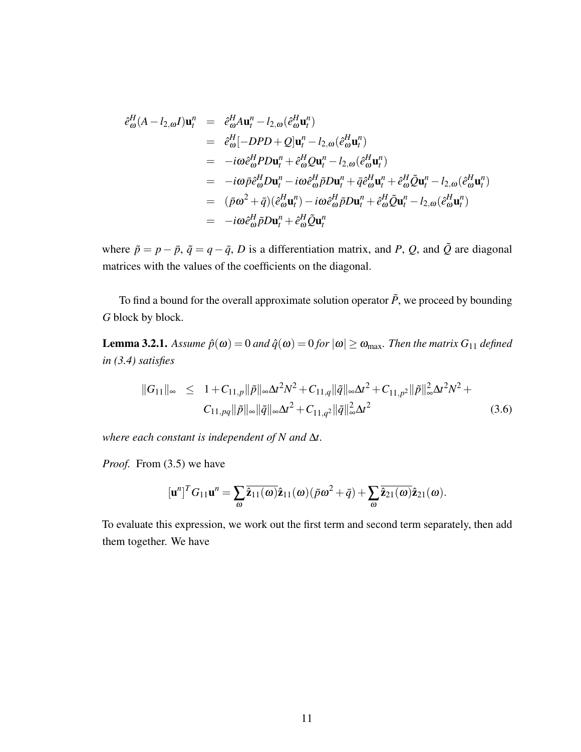$$
\begin{array}{rcl}\n\hat{e}_{\omega}^{H}(A - l_{2,\omega}I)\mathbf{u}_{t}^{n} & = & \hat{e}_{\omega}^{H}A\mathbf{u}_{t}^{n} - l_{2,\omega}(\hat{e}_{\omega}^{H}\mathbf{u}_{t}^{n}) \\
& = & \hat{e}_{\omega}^{H}[-DPD + Q]\mathbf{u}_{t}^{n} - l_{2,\omega}(\hat{e}_{\omega}^{H}\mathbf{u}_{t}^{n}) \\
& = & -i\omega\hat{e}_{\omega}^{H}PD\mathbf{u}_{t}^{n} + \hat{e}_{\omega}^{H}Q\mathbf{u}_{t}^{n} - l_{2,\omega}(\hat{e}_{\omega}^{H}\mathbf{u}_{t}^{n}) \\
& = & -i\omega\bar{p}\hat{e}_{\omega}^{H}D\mathbf{u}_{t}^{n} - i\omega\hat{e}_{\omega}^{H}\tilde{p}D\mathbf{u}_{t}^{n} + \bar{q}\hat{e}_{\omega}^{H}\mathbf{u}_{t}^{n} + \hat{e}_{\omega}^{H}\tilde{Q}\mathbf{u}_{t}^{n} - l_{2,\omega}(\hat{e}_{\omega}^{H}\mathbf{u}_{t}^{n}) \\
& = & (\bar{p}\omega^{2} + \bar{q})(\hat{e}_{\omega}^{H}\mathbf{u}_{t}^{n}) - i\omega\hat{e}_{\omega}^{H}\tilde{p}D\mathbf{u}_{t}^{n} + \hat{e}_{\omega}^{H}\tilde{Q}\mathbf{u}_{t}^{n} - l_{2,\omega}(\hat{e}_{\omega}^{H}\mathbf{u}_{t}^{n}) \\
& = & -i\omega\hat{e}_{\omega}^{H}\tilde{p}D\mathbf{u}_{t}^{n} + \hat{e}_{\omega}^{H}\tilde{Q}\mathbf{u}_{t}^{n}\n\end{array}
$$

where  $\tilde{p} = p - \bar{p}$ ,  $\tilde{q} = q - \bar{q}$ , *D* is a differentiation matrix, and *P*, *Q*, and  $\tilde{Q}$  are diagonal matrices with the values of the coefficients on the diagonal.

To find a bound for the overall approximate solution operator  $\tilde{P}$ , we proceed by bounding *G* block by block.

**Lemma 3.2.1.** *Assume*  $\hat{p}(\omega) = 0$  *and*  $\hat{q}(\omega) = 0$  *for*  $|\omega| \ge \omega_{\text{max}}$ *. Then the matrix*  $G_{11}$  *defined in [\(3.4\)](#page-13-1) satisfies*

$$
||G_{11}||_{\infty} \leq 1 + C_{11,p} ||\tilde{p}||_{\infty} \Delta t^2 N^2 + C_{11,q} ||\tilde{q}||_{\infty} \Delta t^2 + C_{11,p^2} ||\tilde{p}||_{\infty}^2 \Delta t^2 N^2 + C_{11,pq} ||\tilde{p}||_{\infty} ||\tilde{q}||_{\infty} \Delta t^2 + C_{11,q^2} ||\tilde{q}||_{\infty}^2 \Delta t^2
$$
\n(3.6)

*where each constant is independent of N and* ∆*t.*

*Proof.* From [\(3.5\)](#page-14-0) we have

$$
[\mathbf{u}^n]^T G_{11} \mathbf{u}^n = \sum_{\omega} \overline{\hat{\mathbf{z}}_{11}(\omega)} \hat{\mathbf{z}}_{11}(\omega) (\bar{p} \omega^2 + \bar{q}) + \sum_{\omega} \overline{\hat{\mathbf{z}}_{21}(\omega)} \hat{\mathbf{z}}_{21}(\omega).
$$

To evaluate this expression, we work out the first term and second term separately, then add them together. We have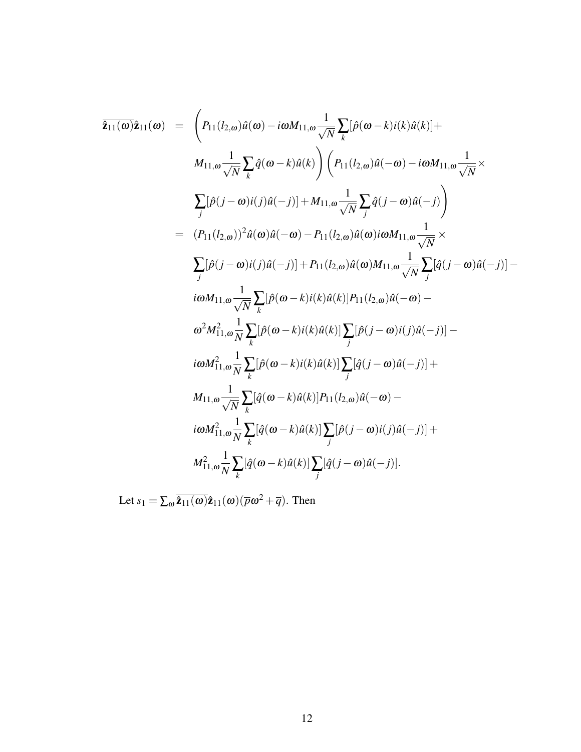$$
\overline{\hat{\mathbf{z}}_{11}(\omega)}\hat{\mathbf{z}}_{11}(\omega) = \left(P_{11}(l_{2,\omega})\hat{u}(\omega) - i\omega M_{11,\omega}\frac{1}{\sqrt{N}}\sum_{k}[\hat{p}(\omega-k)i(k)\hat{u}(k)] + M_{11,\omega}\frac{1}{\sqrt{N}}\sum_{k}\hat{q}(\omega-k)\hat{u}(k)\right)\left(P_{11}(l_{2,\omega})\hat{u}(-\omega) - i\omega M_{11,\omega}\frac{1}{\sqrt{N}}\times\right)
$$
\n
$$
\sum_{j}[\hat{p}(j-\omega)i(j)\hat{u}(-j)] + M_{11,\omega}\frac{1}{\sqrt{N}}\sum_{j}\hat{q}(j-\omega)\hat{u}(-j)\right)
$$
\n
$$
= (P_{11}(l_{2,\omega}))^{2}\hat{u}(\omega)\hat{u}(-\omega) - P_{11}(l_{2,\omega})\hat{u}(\omega)i\omega M_{11,\omega}\frac{1}{\sqrt{N}}\times\right)
$$
\n
$$
\sum_{j}[\hat{p}(j-\omega)i(j)\hat{u}(-j)] + P_{11}(l_{2,\omega})\hat{u}(\omega)M_{11,\omega}\frac{1}{\sqrt{N}}\sum_{j}[\hat{q}(j-\omega)\hat{u}(-j)] - i\omega M_{11,\omega}\frac{1}{\sqrt{N}}\sum_{k}[\hat{p}(\omega-k)i(k)\hat{u}(k)]P_{11}(l_{2,\omega})\hat{u}(-\omega) - \omega^{2}M_{11,\omega}^{2}\frac{1}{N}\sum_{k}[\hat{p}(\omega-k)i(k)\hat{u}(k)]\sum_{j}[\hat{p}(j-\omega)i(j)\hat{u}(-j)] - i\omega M_{11,\omega}^{2}\frac{1}{N}\sum_{k}[\hat{p}(\omega-k)i(k)\hat{u}(k)]\sum_{j}[\hat{q}(j-\omega)\hat{u}(-j)] + M_{11,\omega}\frac{1}{\sqrt{N}}\sum_{k}[\hat{q}(\omega-k)\hat{u}(k)]P_{11}(l_{2,\omega})\hat{u}(-\omega) - i\omega M_{11,\omega}^{2}\frac{1}{N}\sum_{k}[\hat{q}(\omega-k)\hat{u}(k)]\sum_{j}[\hat{p}(j-\omega)i(j)\hat{u}(-j)] + M_{11,\omega}^{2}\frac{1}{N}\sum_{k}[\hat{q}(\omega-k
$$

Let  $s_1 = \sum_{\omega} \overline{\hat{\mathbf{z}}_{11}(\omega)} \hat{\mathbf{z}}_{11}(\omega) (\overline{p}\omega^2 + \overline{q}).$  Then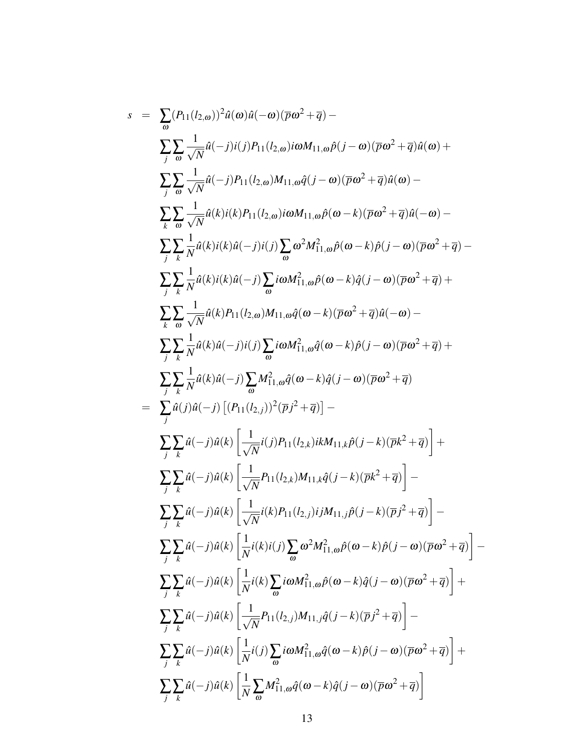<span id="page-17-0"></span>
$$
s = \sum_{\omega} (P_{11}(I_{2,\omega}))^{2} \hat{a}(\omega) \hat{a}(-\omega) (\overline{p}\omega^{2} + \overline{q}) -
$$
\n
$$
\sum_{j} \sum_{\omega} \frac{1}{\sqrt{N}} \hat{a}(-j)i(j)P_{11}(I_{2,\omega})i\omega M_{11,\omega}\hat{p}(j-\omega)(\overline{p}\omega^{2} + \overline{q})\hat{a}(\omega) +
$$
\n
$$
\sum_{j} \sum_{\omega} \frac{1}{\sqrt{N}} \hat{a}(-j)P_{11}(I_{2,\omega})i\omega M_{11,\omega}\hat{p}(j-\omega)(\overline{p}\omega^{2} + \overline{q})\hat{a}(\omega) -
$$
\n
$$
\sum_{k} \sum_{\omega} \frac{1}{\sqrt{N}} \hat{a}(k)i(k)P_{11}(I_{2,\omega})i\omega M_{11,\omega}\hat{p}(\omega - k)(\overline{p}\omega^{2} + \overline{q})\hat{a}(-\omega) -
$$
\n
$$
\sum_{k} \sum_{\omega} \frac{1}{\sqrt{N}} \hat{a}(k)i(k)\hat{a}(-j)i(j) \sum_{\omega} \omega^{2} M_{11,\omega}^{2}\hat{p}(\omega - k)\hat{p}(j-\omega)(\overline{p}\omega^{2} + \overline{q}) -
$$
\n
$$
\sum_{k} \sum_{\omega} \frac{1}{\sqrt{N}} \hat{a}(k)i(k)\hat{a}(-j) \sum_{\omega} i\omega M_{11,\omega}^{2}\hat{p}(\omega - k)\hat{q}(j-\omega)(\overline{p}\omega^{2} + \overline{q}) +
$$
\n
$$
\sum_{j} \sum_{k} \frac{1}{N} \hat{a}(k) \hat{a}(-j)i(j) \sum_{\omega} i\omega M_{11,\omega}^{2}\hat{q}(\omega - k)\hat{p}(j-\omega)(\overline{p}\omega^{2} + \overline{q}) +
$$
\n
$$
\sum_{j} \sum_{k} \frac{1}{N} \hat{a}(k)i(-j) \sum_{\omega} i\omega M_{11,\omega}^{2}\hat{q}(\omega - k)\hat{p}(j-\omega)(\overline{p}\omega^{2} + \overline{q}) +
$$
\n
$$
\sum_{j} \sum_{k} \frac{1}{N}
$$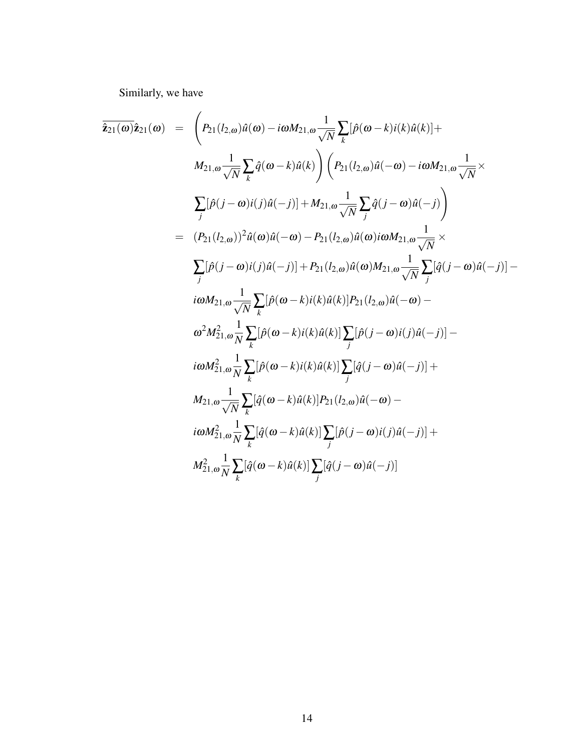Similarly, we have

$$
\hat{\mathbf{z}}_{21}(\omega)\hat{\mathbf{z}}_{21}(\omega) = \left( P_{21}(l_{2,\omega})\hat{u}(\omega) - i\omega M_{21,\omega} \frac{1}{\sqrt{N}} \sum_{k} [\hat{p}(\omega - k)i(k)\hat{u}(k)] + \right. \\
M_{21,\omega} \frac{1}{\sqrt{N}} \sum_{k} \hat{q}(\omega - k)\hat{u}(k) \right) \left( P_{21}(l_{2,\omega})\hat{u}(-\omega) - i\omega M_{21,\omega} \frac{1}{\sqrt{N}} \times \right. \\
\sum_{j} [\hat{p}(j - \omega)i(j)\hat{u}(-j)] + M_{21,\omega} \frac{1}{\sqrt{N}} \sum_{j} \hat{q}(j - \omega)\hat{u}(-j) \right) \\
= (P_{21}(l_{2,\omega}))^{2} \hat{u}(\omega)\hat{u}(-\omega) - P_{21}(l_{2,\omega})\hat{u}(\omega)i\omega M_{21,\omega} \frac{1}{\sqrt{N}} \times \right. \\
\sum_{j} [\hat{p}(j - \omega)i(j)\hat{u}(-j)] + P_{21}(l_{2,\omega})\hat{u}(\omega)M_{21,\omega} \frac{1}{\sqrt{N}} \sum_{j} [\hat{q}(j - \omega)\hat{u}(-j)] - i\omega M_{21,\omega} \frac{1}{\sqrt{N}} \sum_{k} [\hat{p}(\omega - k)i(k)\hat{u}(k)] P_{21}(l_{2,\omega})\hat{u}(-\omega) - \right. \\
\omega^{2} M_{21,\omega}^{2} \frac{1}{N} \sum_{k} [\hat{p}(\omega - k)i(k)\hat{u}(k)] \sum_{j} [\hat{p}(j - \omega)i(j)\hat{u}(-j)] - i\omega M_{21,\omega}^{2} \frac{1}{N} \sum_{k} [\hat{p}(\omega - k)i(k)\hat{u}(k)] \sum_{j} [\hat{q}(j - \omega)\hat{u}(-j)] + \right. \\
M_{21,\omega} \frac{1}{\sqrt{N}} \sum_{k} [\hat{q}(\omega - k)\hat{u}(k)] \sum_{j} [\hat{p}(j - \omega)i(j)\hat{u}(-j)] + \left. M_{21,\omega}^{2} \frac{1}{N} \sum_{k} [\hat{q}(\omega - k)\hat{u}(k)] \sum_{j} [\hat{p}(j - \omega)i(j)\hat{u}(-j)] + \right
$$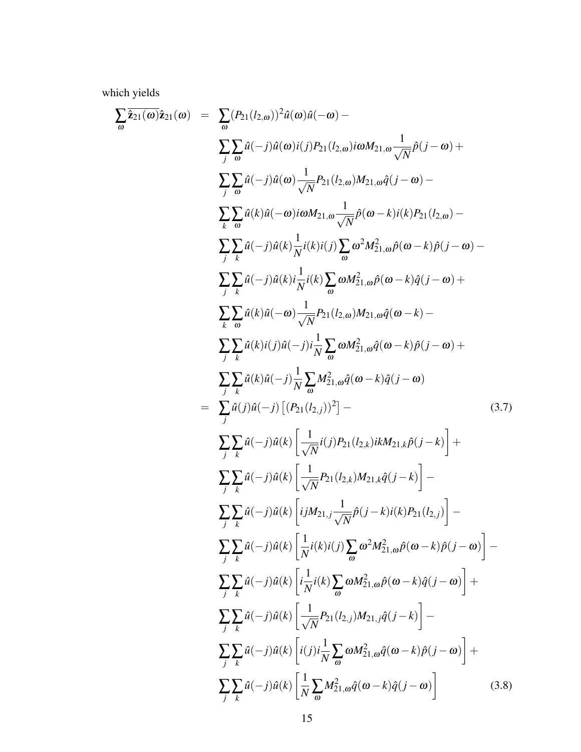which yields

$$
\sum_{\omega} \hat{z}_{21}(\omega) \hat{z}_{21}(\omega) = \sum_{\omega} (P_{21}(l_{2,\omega}))^2 \hat{u}(\omega) \hat{u}(-\omega) -
$$
\n
$$
\sum_{j} \sum_{\omega} \hat{u}(-j) \hat{u}(\omega) i(j) P_{21}(l_{2,\omega}) i\omega M_{21,\omega} \hat{q}(j-\omega) -
$$
\n
$$
\sum_{j} \sum_{\omega} \hat{u}(-j) \hat{u}(\omega) \frac{1}{\sqrt{N}} P_{21}(l_{2,\omega}) M_{21,\omega} \hat{q}(j-\omega) -
$$
\n
$$
\sum_{k} \sum_{\omega} \hat{u}(k) \hat{u}(-\omega) i\omega M_{21,\omega} \frac{1}{\sqrt{N}} \hat{p}(\omega-k) i(k) P_{21}(l_{2,\omega}) -
$$
\n
$$
\sum_{j} \sum_{k} \hat{u}(-j) \hat{u}(k) \frac{1}{N} i(k) i(j) \sum_{\omega} \omega^2 M_{21,\omega}^2 \hat{p}(\omega-k) \hat{p}(j-\omega) -
$$
\n
$$
\sum_{j} \sum_{k} \hat{u}(-j) \hat{u}(k) i \frac{1}{N} i(k) \sum_{\omega} \omega M_{21,\omega}^2 \hat{p}(\omega-k) \hat{q}(j-\omega) +
$$
\n
$$
\sum_{k} \sum_{\omega} \hat{u}(k) \hat{u}(-\omega) \frac{1}{\sqrt{N}} P_{21}(l_{2,\omega}) M_{21,\omega} \hat{q}(\omega-k) -
$$
\n
$$
\sum_{j} \sum_{k} \hat{u}(k) i(j) \hat{u}(-j) i \frac{1}{N} \sum_{\omega} \omega M_{21,\omega}^2 \hat{q}(\omega-k) \hat{p}(j-\omega) +
$$
\n
$$
\sum_{j} \sum_{k} \hat{u}(k) i(j) \hat{u}(-j) \frac{1}{N} \sum_{\omega} M_{21,\omega}^2 \hat{q}(\omega-k) \hat{q}(j-\omega) +
$$
\n
$$
\sum_{j} \sum_{k} \hat{u}(k) i(j) \hat{u}(-j) \frac{1}{N} \sum_{\omega} M_{21,\omega}^2 \hat{q}(\omega-k) \hat
$$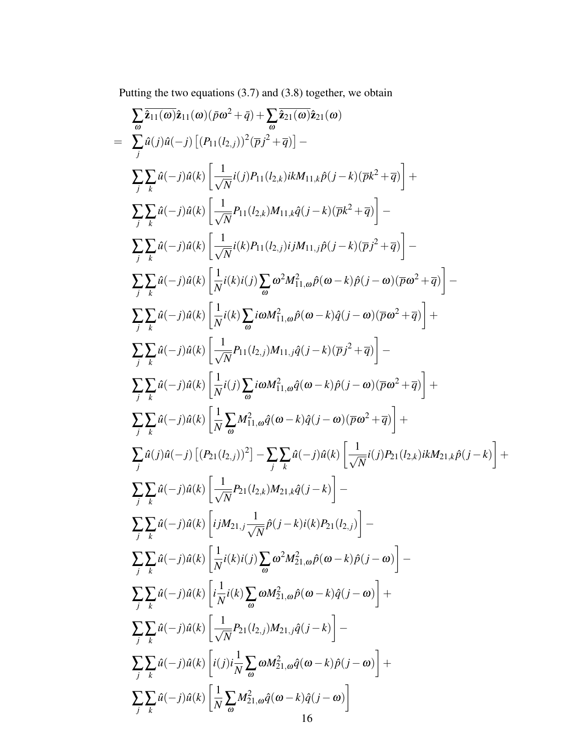Putting the two equations [\(3.7\)](#page-17-0) and [\(3.8\)](#page-17-0) together, we obtain

$$
\sum_{\omega} \sum_{\omega} \overline{\hat{z}_{11}(\omega)} \hat{z}_{11}(\omega) (\bar{p}\omega^{2} + \bar{q}) + \sum_{\omega} \overline{\hat{z}_{21}(\omega)} \hat{z}_{21}(\omega)
$$
\n
$$
= \sum_{j} \hat{a}(j)\hat{a}(-j) \left[ (P_{11}(l_{2,j}))^{2} (\bar{p}\hat{p}^{2} + \bar{q}) \right] -
$$
\n
$$
\sum_{j} \sum_{k} \hat{a}(-j)\hat{a}(k) \left[ \frac{1}{\sqrt{N}} i(j) P_{11}(l_{2,k}) i k M_{11,k} \hat{p}(j-k) (\bar{p}k^{2} + \bar{q}) \right] +
$$
\n
$$
\sum_{j} \sum_{k} \hat{a}(-j)\hat{a}(k) \left[ \frac{1}{\sqrt{N}} P_{11}(l_{2,k}) M_{11,k} \hat{q}(j-k) (\bar{p}k^{2} + \bar{q}) \right] -
$$
\n
$$
\sum_{j} \sum_{k} \hat{a}(-j)\hat{a}(k) \left[ \frac{1}{\sqrt{N}} i(k) P_{11}(l_{2,j}) i j M_{11,j} \hat{p}(j-k) (\bar{p}j^{2} + \bar{q}) \right] -
$$
\n
$$
\sum_{j} \sum_{k} \hat{a}(-j)\hat{a}(k) \left[ \frac{1}{N} i(k) \sum_{\omega} \omega^{2} M_{11,\omega}^{2} \hat{p}(\omega-k) \hat{p}(j-\omega) (\bar{p}\omega^{2} + \bar{q}) \right] -
$$
\n
$$
\sum_{j} \sum_{k} \hat{a}(-j)\hat{a}(k) \left[ \frac{1}{N} i(k) \sum_{\omega} \omega M_{11,\omega}^{2} \hat{p}(\omega-k) \hat{q}(j-\omega) (\bar{p}\omega^{2} + \bar{q}) \right] +
$$
\n
$$
\sum_{j} \sum_{k} \hat{a}(-j)\hat{a}(k) \left[ \frac{1}{N} i(j) \sum_{\omega} \omega M_{11,\omega}^{2} \hat{q}(\omega-k) \hat{q}(j-\omega) (\bar{p}\omega^{2} + \bar{q}) \right] +
$$
\n
$$
\sum_{j} \sum_{k} \hat{a}(-
$$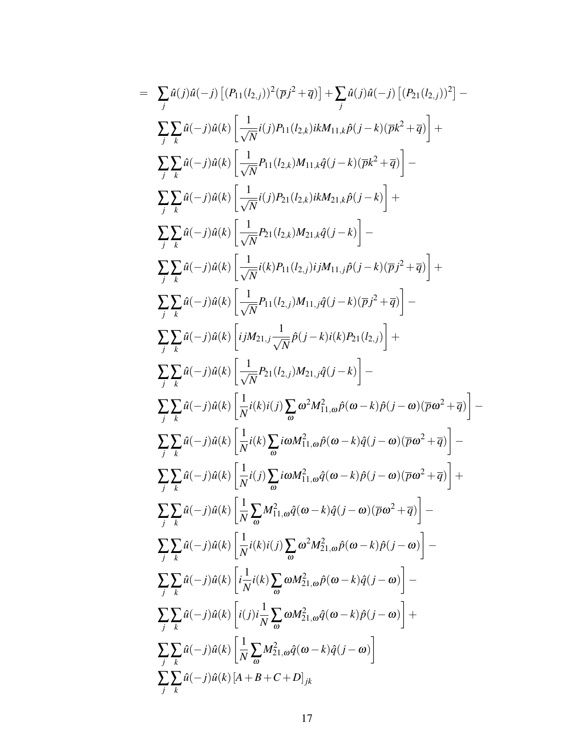$$
= \sum_{j} \hat{a}(j)\hat{a}(-j) \left[ (P_{11}(t_{2,j}))^{2}(\overline{p_{j}}^{2} + \overline{q}) \right] + \sum_{j} \hat{a}(j)\hat{a}(-j) \left[ (P_{21}(t_{2,j}))^{2} \right] - \sum_{j} \sum_{k} \hat{a}(-j)\hat{a}(k) \left[ \frac{1}{\sqrt{N}} i(j)P_{11}(t_{2,k})ikM_{11,k}\hat{p}(j-k)(\overline{p}k^{2} + \overline{q}) \right] + \sum_{j} \sum_{k} \hat{a}(-j)\hat{a}(k) \left[ \frac{1}{\sqrt{N}} P_{11}(t_{2,k})M_{11,k}\hat{q}(j-k)(\overline{p}k^{2} + \overline{q}) \right] - \sum_{j} \sum_{k} \hat{a}(-j)\hat{a}(k) \left[ \frac{1}{\sqrt{N}} i(j)P_{21}(t_{2,k})ikM_{21,k}\hat{p}(j-k) \right] + \sum_{j} \sum_{k} \hat{a}(-j)\hat{a}(k) \left[ \frac{1}{\sqrt{N}} P_{21}(t_{2,k})M_{21,k}\hat{q}(j-k) \right] - \sum_{j} \sum_{k} \hat{a}(-j)\hat{a}(k) \left[ \frac{1}{\sqrt{N}} i(k)P_{11}(t_{2,j})i jM_{11,j}\hat{p}(j-k)(\overline{p}j^{2} + \overline{q}) \right] + \sum_{j} \sum_{k} \hat{a}(-j)\hat{a}(k) \left[ \frac{1}{\sqrt{N}} P_{11}(t_{2,j})M_{11,j}\hat{q}(j-k)(\overline{p}j^{2} + \overline{q}) \right] - \sum_{j} \sum_{k} \hat{a}(-j)\hat{a}(k) \left[ \frac{1}{\sqrt{N}} P_{11}(t_{2,j})M_{11,j}\hat{q}(j-k)(\overline{p}j^{2} + \overline{q}) \right] - \sum_{j} \sum_{k} \hat{a}(-j)\hat{a}(k) \left[ \frac{1}{\sqrt{N}} P_{21}(t_{2,j})M_{21,j}\hat{q}(j-k) \right] - \sum_{j} \sum_{k} \hat{a}(-j)\hat{a}(k) \left[ \frac{1}{\sqrt{N}} P_{21}(t_{2,j})M_{2
$$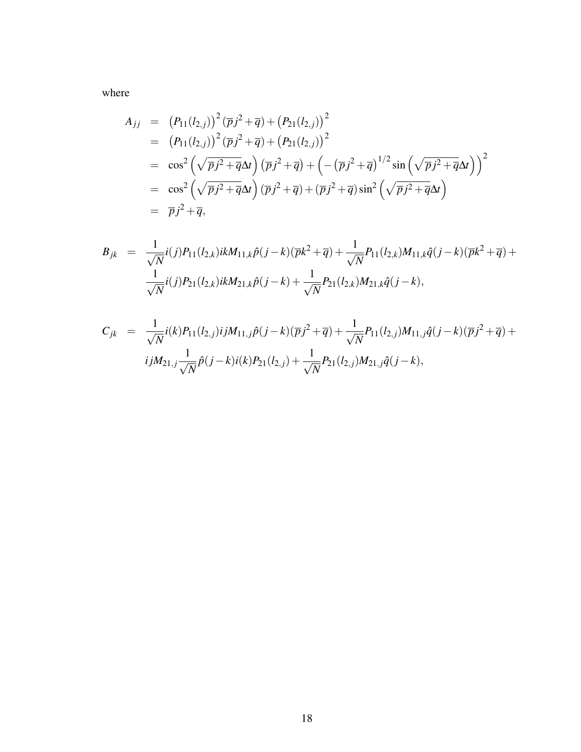where

$$
A_{jj} = (P_{11}(l_{2,j}))^{2} (\overline{p}j^{2} + \overline{q}) + (P_{21}(l_{2,j}))^{2}
$$
  
\n
$$
= (P_{11}(l_{2,j}))^{2} (\overline{p}j^{2} + \overline{q}) + (P_{21}(l_{2,j}))^{2}
$$
  
\n
$$
= \cos^{2} (\sqrt{\overline{p}j^{2} + \overline{q}} \Delta t) (\overline{p}j^{2} + \overline{q}) + (-(\overline{p}j^{2} + \overline{q})^{1/2} \sin (\sqrt{\overline{p}j^{2} + \overline{q}} \Delta t))^{2}
$$
  
\n
$$
= \cos^{2} (\sqrt{\overline{p}j^{2} + \overline{q}} \Delta t) (\overline{p}j^{2} + \overline{q}) + (\overline{p}j^{2} + \overline{q}) \sin^{2} (\sqrt{\overline{p}j^{2} + \overline{q}} \Delta t)
$$
  
\n
$$
= \overline{p}j^{2} + \overline{q},
$$

$$
B_{jk} = \frac{1}{\sqrt{N}} i(j) P_{11}(l_{2,k}) ik M_{11,k} \hat{p}(j-k) (\overline{p}k^2 + \overline{q}) + \frac{1}{\sqrt{N}} P_{11}(l_{2,k}) M_{11,k} \hat{q}(j-k) (\overline{p}k^2 + \overline{q}) + \frac{1}{\sqrt{N}} i(j) P_{21}(l_{2,k}) ik M_{21,k} \hat{p}(j-k) + \frac{1}{\sqrt{N}} P_{21}(l_{2,k}) M_{21,k} \hat{q}(j-k),
$$

$$
C_{jk} = \frac{1}{\sqrt{N}} i(k) P_{11}(l_{2,j}) i j M_{11,j} \hat{p}(j-k) (\overline{p}j^2 + \overline{q}) + \frac{1}{\sqrt{N}} P_{11}(l_{2,j}) M_{11,j} \hat{q}(j-k) (\overline{p}j^2 + \overline{q}) +
$$
  
\n
$$
i j M_{21,j} \frac{1}{\sqrt{N}} \hat{p}(j-k) i(k) P_{21}(l_{2,j}) + \frac{1}{\sqrt{N}} P_{21}(l_{2,j}) M_{21,j} \hat{q}(j-k),
$$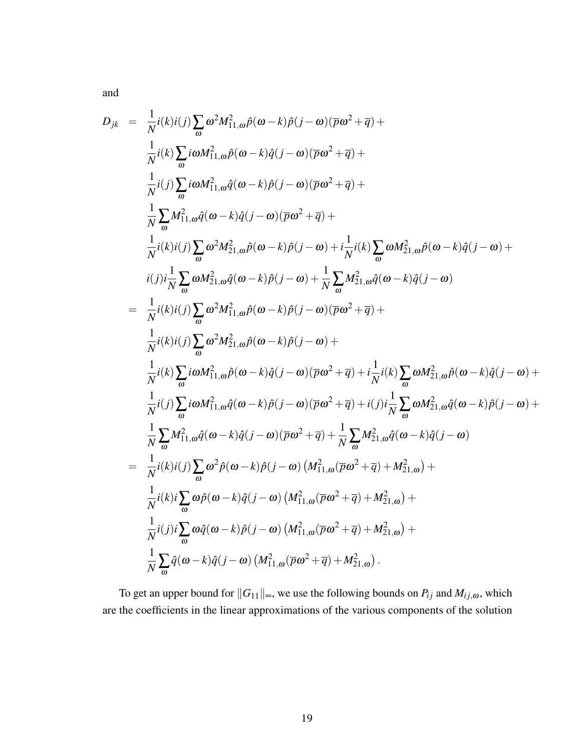and

$$
D_{jk} = \frac{1}{N}i(k)i(j)\sum_{\omega} \omega^{2}M_{11,\omega}^{2}\hat{p}(\omega-k)\hat{p}(j-\omega)(\overline{p}\omega^{2}+\overline{q}) +
$$
  
\n
$$
\frac{1}{N}i(k)\sum_{\omega} i\omega M_{11,\omega}^{2}\hat{q}(\omega-k)\hat{q}(j-\omega)(\overline{p}\omega^{2}+\overline{q}) +
$$
  
\n
$$
\frac{1}{N}\sum_{\omega} M_{11,\omega}^{2}\hat{q}(\omega-k)\hat{q}(j-\omega)(\overline{p}\omega^{2}+\overline{q}) +
$$
  
\n
$$
\frac{1}{N}\sum_{\omega} M_{11,\omega}^{2}\hat{q}(\omega-k)\hat{q}(j-\omega)(\overline{p}\omega^{2}+\overline{q}) +
$$
  
\n
$$
\frac{1}{N}i(k)i(j)\sum_{\omega} \omega^{2}M_{21,\omega}^{2}\hat{p}(\omega-k)\hat{p}(j-\omega)+i\frac{1}{N}i(k)\sum_{\omega} \omega M_{21,\omega}^{2}\hat{p}(\omega-k)\hat{q}(j-\omega) +
$$
  
\n
$$
i(j)i\frac{1}{N}\sum_{\omega} \omega M_{21,\omega}^{2}\hat{q}(\omega-k)\hat{p}(j-\omega)+\frac{1}{N}\sum_{\omega} M_{21,\omega}^{2}\hat{q}(\omega-k)\hat{q}(j-\omega)
$$
  
\n
$$
= \frac{1}{N}i(k)i(j)\sum_{\omega} \omega^{2}M_{11,\omega}^{2}\hat{p}(\omega-k)\hat{p}(j-\omega)(\overline{p}\omega^{2}+\overline{q}) +
$$
  
\n
$$
\frac{1}{N}i(k)i(j)\sum_{\omega} \omega^{2}M_{21,\omega}^{2}\hat{p}(\omega-k)\hat{q}(j-\omega)+
$$
  
\n
$$
\frac{1}{N}i(k)\sum_{\omega} i\omega M_{11,\omega}^{2}\hat{p}(\omega-k)\hat{q}(j-\omega)(\overline{p}\omega^{2}+\overline{q})+i\frac{1}{N}i(k)\sum_{\omega} \omega M_{21,\omega}^{2}\hat{p}(\omega-k)\hat{q}(j-\omega)+
$$
  
\n
$$
\frac{1}{N}i(k)\sum_{\omega} i\omega M_{11,\omega}
$$

To get an upper bound for  $||G_{11}||_{\infty}$ , we use the following bounds on  $P_{ij}$  and  $M_{ij,\omega}$ , which are the coefficients in the linear approximations of the various components of the solution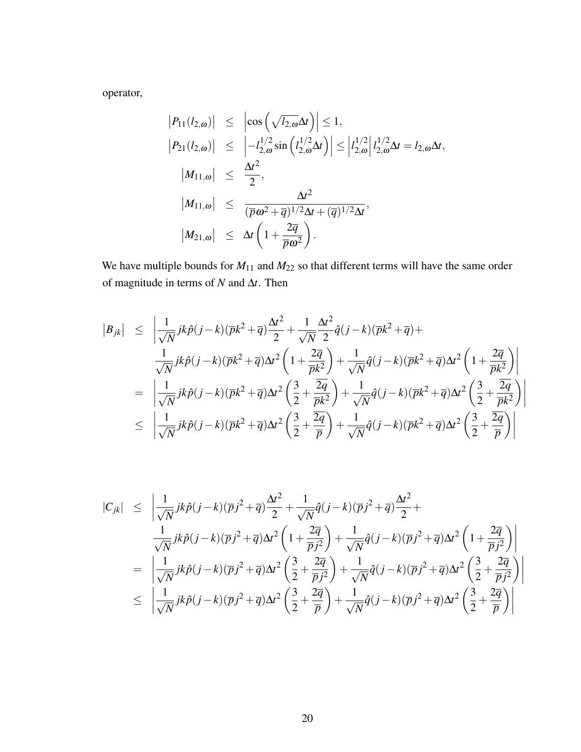operator,

 $\overline{\phantom{a}}$ 

$$
|P_{11}(l_{2,\omega})| \leq |\cos\left(\sqrt{l_{2,\omega}}\Delta t\right)| \leq 1,
$$
  
\n
$$
|P_{21}(l_{2,\omega})| \leq |-l_{2,\omega}^{1/2}\sin\left(l_{2,\omega}^{1/2}\Delta t\right)| \leq |l_{2,\omega}^{1/2}|l_{2,\omega}^{1/2}\Delta t = l_{2,\omega}\Delta t,
$$
  
\n
$$
|M_{11,\omega}| \leq \frac{\Delta t^2}{2},
$$
  
\n
$$
|M_{11,\omega}| \leq \frac{\Delta t^2}{(\overline{p}\omega^2 + \overline{q})^{1/2}\Delta t + (\overline{q})^{1/2}\Delta t},
$$
  
\n
$$
|M_{21,\omega}| \leq \Delta t \left(1 + \frac{2\overline{q}}{\overline{p}\omega^2}\right).
$$

We have multiple bounds for  $M_{11}$  and  $M_{22}$  so that different terms will have the same order of magnitude in terms of *N* and ∆*t*. Then

$$
\begin{array}{lcl} \left|B_{jk}\right| & \leq & \left|\frac{1}{\sqrt{N}}jk\hat{p}(j-k)(\overline{p}k^2+\overline{q})\frac{\Delta t^2}{2}+\frac{1}{\sqrt{N}}\frac{\Delta t^2}{2}\hat{q}(j-k)(\overline{p}k^2+\overline{q})+\\ & & \frac{1}{\sqrt{N}}jk\hat{p}(j-k)(\overline{p}k^2+\overline{q})\Delta t^2\left(1+\frac{2\overline{q}}{\overline{p}k^2}\right)+\frac{1}{\sqrt{N}}\hat{q}(j-k)(\overline{p}k^2+\overline{q})\Delta t^2\left(1+\frac{2\overline{q}}{\overline{p}k^2}\right)\right|\\ & & = & \left|\frac{1}{\sqrt{N}}jk\hat{p}(j-k)(\overline{p}k^2+\overline{q})\Delta t^2\left(\frac{3}{2}+\frac{\overline{2q}}{\overline{p}k^2}\right)+\frac{1}{\sqrt{N}}\hat{q}(j-k)(\overline{p}k^2+\overline{q})\Delta t^2\left(\frac{3}{2}+\frac{\overline{2q}}{\overline{p}k^2}\right)\right|\right|\\ & & \leq & \left|\frac{1}{\sqrt{N}}jk\hat{p}(j-k)(\overline{p}k^2+\overline{q})\Delta t^2\left(\frac{3}{2}+\frac{\overline{2q}}{\overline{p}}\right)+\frac{1}{\sqrt{N}}\hat{q}(j-k)(\overline{p}k^2+\overline{q})\Delta t^2\left(\frac{3}{2}+\frac{\overline{2q}}{\overline{p}}\right)\right|\end{array}
$$

$$
\begin{array}{lcl} |C_{jk}| & \leq & \left|\frac{1}{\sqrt{N}}jk\hat{p}(j-k)(\overline{p}j^2+\overline{q})\frac{\Delta t^2}{2}+\frac{1}{\sqrt{N}}\hat{q}(j-k)(\overline{p}j^2+\overline{q})\frac{\Delta t^2}{2}+ \right.\\ & & \left. \frac{1}{\sqrt{N}}jk\hat{p}(j-k)(\overline{p}j^2+\overline{q})\Delta t^2\left(1+\frac{2\overline{q}}{\overline{p}j^2}\right)+\frac{1}{\sqrt{N}}\hat{q}(j-k)(\overline{p}j^2+\overline{q})\Delta t^2\left(1+\frac{2\overline{q}}{\overline{p}j^2}\right)\right| \\ & = & \left|\frac{1}{\sqrt{N}}jk\hat{p}(j-k)(\overline{p}j^2+\overline{q})\Delta t^2\left(\frac{3}{2}+\frac{2\overline{q}}{\overline{p}j^2}\right)+\frac{1}{\sqrt{N}}\hat{q}(j-k)(\overline{p}j^2+\overline{q})\Delta t^2\left(\frac{3}{2}+\frac{2\overline{q}}{\overline{p}j^2}\right)\right| \\ & \leq & \left|\frac{1}{\sqrt{N}}jk\hat{p}(j-k)(\overline{p}j^2+\overline{q})\Delta t^2\left(\frac{3}{2}+\frac{2\overline{q}}{\overline{p}}\right)+\frac{1}{\sqrt{N}}\hat{q}(j-k)(\overline{p}j^2+\overline{q})\Delta t^2\left(\frac{3}{2}+\frac{2\overline{q}}{\overline{p}}\right)\right|\end{array}
$$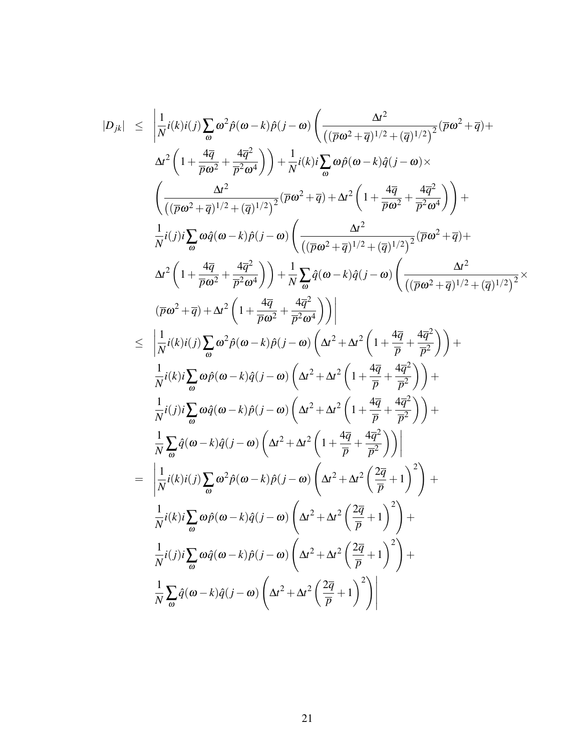$$
\begin{array}{lcl} |D_{jk}| & \leq & \displaystyle \frac{1}{N} i(k) i(j) \sum_{\omega} \omega^2 \hat{p}(\omega - k) \hat{p}(j - \omega) \left( \frac{\Delta t^2}{\left( (\overline{\rho}\omega^2 + \overline{q})^{1/2} + (\overline{q})^{1/2} \right)^2} (\overline{\rho}\omega^2 + \overline{q}) + \\ & \Delta t^2 \left( 1 + \frac{4\overline{q}}{\overline{\rho}\omega^2} + \frac{4\overline{q}^2}{\overline{\rho}^2\omega^4} \right) \right) + \frac{1}{N} i(k) i \sum_{\omega} \omega \hat{p}(\omega - k) \hat{q}(j - \omega) \times \\ & & \left( \frac{\Delta t^2}{\left( (\overline{\rho}\omega^2 + \overline{q})^{1/2} + (\overline{q})^{1/2} \right)^2} (\overline{\rho}\omega^2 + \overline{q}) + \Delta t^2 \left( 1 + \frac{4\overline{q}}{\overline{\rho}\omega^2} + \frac{4\overline{q}^2}{\overline{\rho}^2\omega^4} \right) \right) + \\ & & \frac{1}{N} i(j) i \sum_{\omega} \omega \hat{q}(\omega - k) \hat{p}(j - \omega) \left( \frac{\Delta t^2}{\left( (\overline{\rho}\omega^2 + \overline{q})^{1/2} + (\overline{q})^{1/2} \right)^2} (\overline{\rho}\omega^2 + \overline{q}) + \\ & & \Delta t^2 \left( 1 + \frac{4\overline{q}}{\overline{\rho}\omega^2} + \frac{4\overline{q}^2}{\overline{\rho}^2\omega^4} \right) \right) + \frac{1}{N} \sum_{\omega} \hat{q}(\omega - k) \hat{q}(j - \omega) \left( \frac{\Delta t^2}{\left( (\overline{\rho}\omega^2 + \overline{q})^{1/2} + (\overline{q})^{1/2} \right)^2} \times \\ & & (\overline{\rho}\omega^2 + \overline{q}) + \Delta t^2 \left( 1 + \frac{4\overline{q}}{\overline{\rho}\omega^2} + \frac{4\overline{q}^2}{\overline{\rho}^2\omega^4} \right) \right) \Big| \\ & & \leq & \frac{1}{N} i(k) i(j) \sum_{\omega} \omega^
$$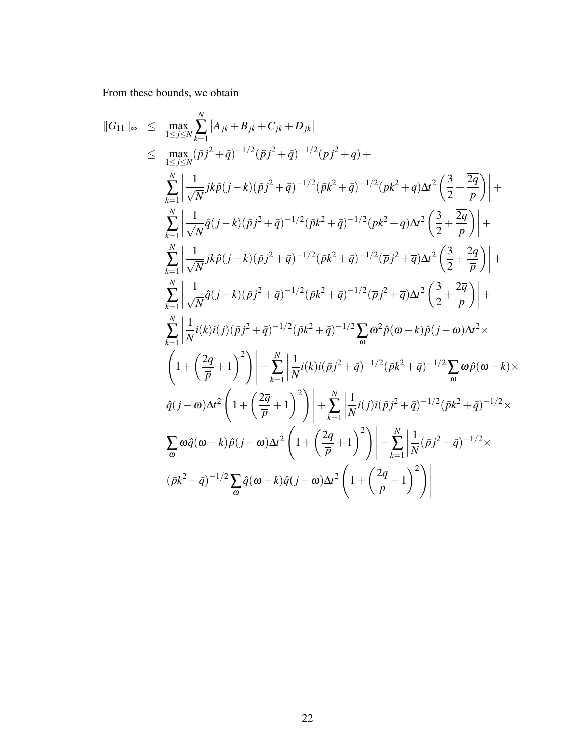From these bounds, we obtain

<span id="page-26-0"></span>
$$
\|G_{11}\|_{\infty} \leq \max_{1 \leq j \leq N} \sum_{k=1}^{N} |A_{jk} + B_{jk} + C_{jk} + D_{jk}|
$$
  
\n
$$
\leq \max_{1 \leq j \leq N} (\bar{p}j^{2} + \bar{q})^{-1/2} (\bar{p}j^{2} + \bar{q})^{-1/2} (\bar{p}j^{2} + \bar{q}) +
$$
  
\n
$$
\sum_{k=1}^{N} \left| \frac{1}{\sqrt{N}} j k \hat{p}(j - k) (\bar{p}j^{2} + \bar{q})^{-1/2} (\bar{p}k^{2} + \bar{q})^{-1/2} (\bar{p}k^{2} + \bar{q}) \Delta t^{2} (\frac{3}{2} + \frac{\overline{2q}}{\bar{p}}) \right| +
$$
  
\n
$$
\sum_{k=1}^{N} \left| \frac{1}{\sqrt{N}} j k \hat{p}(j - k) (\bar{p}j^{2} + \bar{q})^{-1/2} (\bar{p}k^{2} + \bar{q})^{-1/2} (\bar{p}k^{2} + \bar{q}) \Delta t^{2} (\frac{3}{2} + \frac{\overline{2q}}{\bar{p}}) \right| +
$$
  
\n
$$
\sum_{k=1}^{N} \left| \frac{1}{\sqrt{N}} j k \hat{p}(j - k) (\bar{p}j^{2} + \bar{q})^{-1/2} (\bar{p}k^{2} + \bar{q})^{-1/2} (\bar{p}j^{2} + \bar{q}) \Delta t^{2} (\frac{3}{2} + \frac{2\overline{q}}{\bar{p}}) \right| +
$$
  
\n
$$
\sum_{k=1}^{N} \left| \frac{1}{\sqrt{N}} j(k) (j - k) (\bar{p}j^{2} + \bar{q})^{-1/2} (\bar{p}k^{2} + \bar{q})^{-1/2} (\bar{p}j^{2} + \bar{q}) \Delta t^{2} (\frac{3}{2} + \frac{2\overline{q}}{\bar{p}}) \right| +
$$
  
\n
$$
\sum_{k=1}^{N} \left| \frac{1}{N} i(k) i(j) (\bar{p}j^{2} + \bar{q})^{-1/2} (\bar{p}k^{2} + \bar{q})^{-1/2} (\bar{p}j^{2} +
$$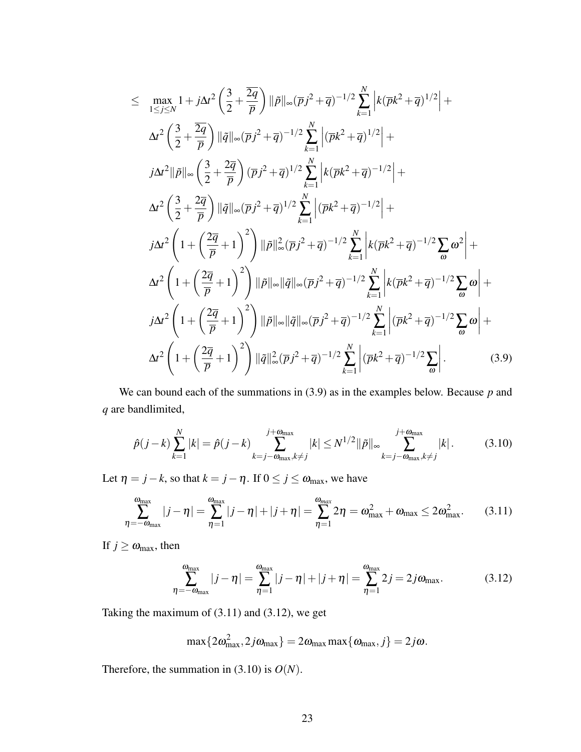$$
\leq \max_{1 \leq j \leq N} 1 + j\Delta t^{2} \left( \frac{3}{2} + \frac{\overline{2q}}{p} \right) ||\tilde{p}||_{\infty} (\overline{p}j^{2} + \overline{q})^{-1/2} \sum_{k=1}^{N} \left| k(\overline{p}k^{2} + \overline{q})^{1/2} \right| + \Delta t^{2} \left( \frac{3}{2} + \frac{\overline{2q}}{p} \right) ||\tilde{q}||_{\infty} (\overline{p}j^{2} + \overline{q})^{-1/2} \sum_{k=1}^{N} \left| (\overline{p}k^{2} + \overline{q})^{1/2} \right| + \jint_{\Delta t^{2}} ||\tilde{p}||_{\infty} \left( \frac{3}{2} + \frac{2\overline{q}}{p} \right) (\overline{p}j^{2} + \overline{q})^{1/2} \sum_{k=1}^{N} \left| k(\overline{p}k^{2} + \overline{q})^{-1/2} \right| + \Delta t^{2} \left( \frac{3}{2} + \frac{2\overline{q}}{p} \right) ||\tilde{q}||_{\infty} (\overline{p}j^{2} + \overline{q})^{1/2} \sum_{k=1}^{N} \left| (\overline{p}k^{2} + \overline{q})^{-1/2} \right| + \jint_{\Delta t^{2}} \left( 1 + \left( \frac{2\overline{q}}{p} + 1 \right)^{2} \right) ||\tilde{p}||_{\infty}^{2} (\overline{p}j^{2} + \overline{q})^{-1/2} \sum_{k=1}^{N} \left| k(\overline{p}k^{2} + \overline{q})^{-1/2} \sum_{\omega} \omega^{2} \right| + \Delta t^{2} \left( 1 + \left( \frac{2\overline{q}}{\overline{p}} + 1 \right)^{2} \right) ||\tilde{p}||_{\infty} ||\tilde{q}||_{\infty} (\overline{p}j^{2} + \overline{q})^{-1/2} \sum_{k=1}^{N} \left| k(\overline{p}k^{2} + \overline{q})^{-1/2} \sum_{\omega} \omega^{2} \right| + \jint_{\Delta t^{2}} \left( 1 + \left( \frac
$$

We can bound each of the summations in [\(3.9\)](#page-26-0) as in the examples below. Because *p* and *q* are bandlimited,

<span id="page-27-2"></span>
$$
\hat{p}(j-k)\sum_{k=1}^{N}|k| = \hat{p}(j-k)\sum_{k=j-\omega_{\text{max}},k\neq j}^{j+\omega_{\text{max}}} |k| \le N^{1/2} \|\tilde{p}\|_{\infty} \sum_{k=j-\omega_{\text{max}},k\neq j}^{j+\omega_{\text{max}}} |k|.
$$
 (3.10)

Let  $\eta = j - k$ , so that  $k = j - \eta$ . If  $0 \le j \le \omega_{\text{max}}$ , we have

<span id="page-27-0"></span>
$$
\sum_{\eta=-\omega_{\max}}^{\omega_{\max}}|j-\eta|=\sum_{\eta=1}^{\omega_{\max}}|j-\eta|+|j+\eta|=\sum_{\eta=1}^{\omega_{\max}}2\eta=\omega_{\max}^2+\omega_{\max}\leq 2\omega_{\max}^2.\tag{3.11}
$$

If  $j \geq \omega_{\text{max}}$ , then

<span id="page-27-1"></span>
$$
\sum_{\eta=-\omega_{\text{max}}}^{\omega_{\text{max}}} |j-\eta| = \sum_{\eta=1}^{\omega_{\text{max}}} |j-\eta| + |j+\eta| = \sum_{\eta=1}^{\omega_{\text{max}}} 2j = 2j\omega_{\text{max}}.
$$
 (3.12)

Taking the maximum of [\(3.11\)](#page-27-0) and [\(3.12\)](#page-27-1), we get

$$
\max\{2\omega_{\max}^2, 2j\omega_{\max}\} = 2\omega_{\max} \max\{\omega_{\max}, j\} = 2j\omega.
$$

Therefore, the summation in  $(3.10)$  is  $O(N)$ .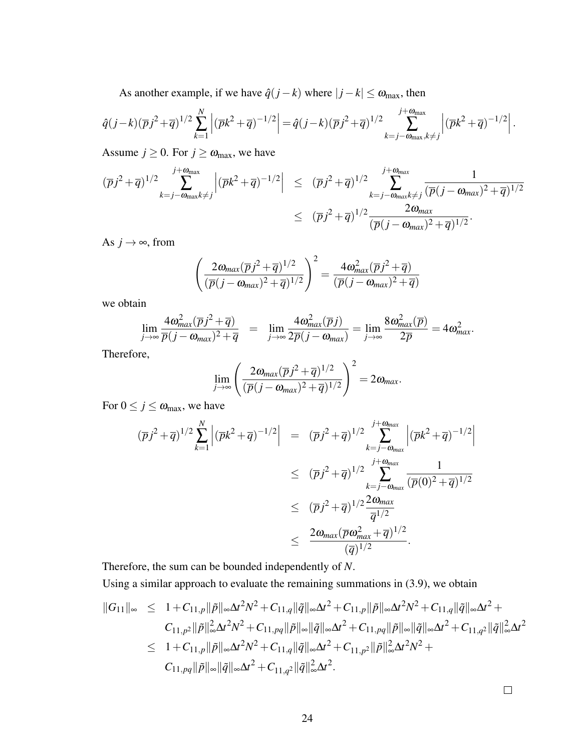As another example, if we have  $\hat{q}(j-k)$  where  $|j-k| \leq \omega_{\text{max}}$ , then

$$
\hat{q}(j-k)(\overline{p}j^{2}+\overline{q})^{1/2}\sum_{k=1}^{N}\left|(\overline{p}k^{2}+\overline{q})^{-1/2}\right| = \hat{q}(j-k)(\overline{p}j^{2}+\overline{q})^{1/2}\sum_{k=j-\omega_{\text{max}},k\neq j}^{j+\omega_{\text{max}}}\left|(\overline{p}k^{2}+\overline{q})^{-1/2}\right|.
$$

Assume  $j \ge 0$ . For  $j \ge \omega_{\text{max}}$ , we have

$$
(\overline{p}j^{2} + \overline{q})^{1/2} \sum_{k=j-\omega_{\text{max}}k\neq j}^{j+\omega_{\text{max}}} \left| (\overline{p}k^{2} + \overline{q})^{-1/2} \right| \leq (\overline{p}j^{2} + \overline{q})^{1/2} \sum_{k=j-\omega_{\text{max}}k\neq j}^{j+\omega_{\text{max}}} \frac{1}{(\overline{p}(j-\omega_{\text{max}})^{2} + \overline{q})^{1/2}} \leq (\overline{p}j^{2} + \overline{q})^{1/2} \frac{2\omega_{\text{max}}}{(\overline{p}(j-\omega_{\text{max}})^{2} + \overline{q})^{1/2}}.
$$

As  $j \rightarrow \infty$ , from

$$
\left(\frac{2\omega_{max}(\overline{p}j^{2}+\overline{q})^{1/2}}{(\overline{p}(j-\omega_{max})^{2}+\overline{q})^{1/2}}\right)^{2}=\frac{4\omega_{max}^{2}(\overline{p}j^{2}+\overline{q})}{(\overline{p}(j-\omega_{max})^{2}+\overline{q})}
$$

we obtain

$$
\lim_{j \to \infty} \frac{4\omega_{max}^2(\overline{p}j^2 + \overline{q})}{\overline{p}(j - \omega_{max})^2 + \overline{q}} = \lim_{j \to \infty} \frac{4\omega_{max}^2(\overline{p}j)}{2\overline{p}(j - \omega_{max})} = \lim_{j \to \infty} \frac{8\omega_{max}^2(\overline{p})}{2\overline{p}} = 4\omega_{max}^2.
$$

Therefore,

$$
\lim_{j\to\infty}\left(\frac{2\omega_{max}(\overline{p}j^2+\overline{q})^{1/2}}{(\overline{p}(j-\omega_{max})^2+\overline{q})^{1/2}}\right)^2=2\omega_{max}.
$$

For  $0 \le j \le \omega_{\text{max}}$ , we have

$$
(\overline{p}j^{2} + \overline{q})^{1/2} \sum_{k=1}^{N} \left| (\overline{p}k^{2} + \overline{q})^{-1/2} \right| = (\overline{p}j^{2} + \overline{q})^{1/2} \sum_{k=j-\omega_{max}}^{j+\omega_{max}} \left| (\overline{p}k^{2} + \overline{q})^{-1/2} \right|
$$
  
\n
$$
\leq (\overline{p}j^{2} + \overline{q})^{1/2} \sum_{k=j-\omega_{max}}^{j+\omega_{max}} \frac{1}{(\overline{p}(0)^{2} + \overline{q})^{1/2}}
$$
  
\n
$$
\leq (\overline{p}j^{2} + \overline{q})^{1/2} \frac{2\omega_{max}}{\overline{q}^{1/2}}
$$
  
\n
$$
\leq \frac{2\omega_{max}(\overline{p}\omega_{max}^{2} + \overline{q})^{1/2}}{(\overline{q})^{1/2}}.
$$

Therefore, the sum can be bounded independently of *N*.

Using a similar approach to evaluate the remaining summations in [\(3.9\)](#page-26-0), we obtain

$$
||G_{11}||_{\infty} \leq 1 + C_{11,p} ||\tilde{p}||_{\infty} \Delta t^{2} N^{2} + C_{11,q} ||\tilde{q}||_{\infty} \Delta t^{2} + C_{11,p} ||\tilde{p}||_{\infty} \Delta t^{2} N^{2} + C_{11,q} ||\tilde{q}||_{\infty} \Delta t^{2} + C_{11,p^{2}} ||\tilde{p}||_{\infty}^{2} \Delta t^{2} N^{2} + C_{11,pq} ||\tilde{p}||_{\infty} ||\tilde{q}||_{\infty} \Delta t^{2} + C_{11,pq} ||\tilde{p}||_{\infty} ||\tilde{q}||_{\infty} \Delta t^{2} + C_{11,q^{2}} ||\tilde{q}||_{\infty}^{2} \Delta t^{2}
$$
  
\n
$$
\leq 1 + C_{11,p} ||\tilde{p}||_{\infty} \Delta t^{2} N^{2} + C_{11,q} ||\tilde{q}||_{\infty} \Delta t^{2} + C_{11,p^{2}} ||\tilde{p}||_{\infty}^{2} \Delta t^{2} N^{2} + C_{11,pq} ||\tilde{p}||_{\infty} ||\tilde{q}||_{\infty} \Delta t^{2} + C_{11,q^{2}} ||\tilde{q}||_{\infty}^{2} \Delta t^{2}.
$$

 $\Box$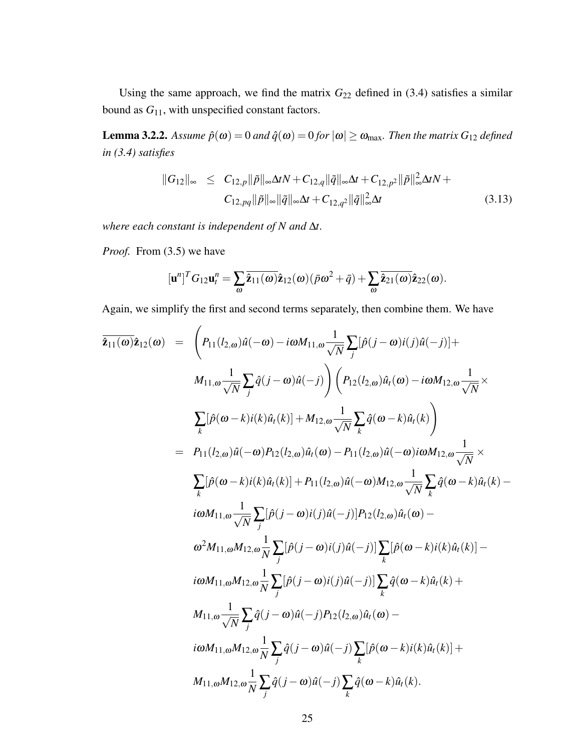Using the same approach, we find the matrix  $G_{22}$  defined in [\(3.4\)](#page-13-1) satisfies a similar bound as *G*11, with unspecified constant factors.

**Lemma 3.2.2.** Assume  $\hat{p}(\omega) = 0$  and  $\hat{q}(\omega) = 0$  for  $|\omega| \ge \omega_{\text{max}}$ . Then the matrix  $G_{12}$  defined *in [\(3.4\)](#page-13-1) satisfies*

$$
||G_{12}||_{\infty} \leq C_{12,p} ||\tilde{p}||_{\infty} \Delta t N + C_{12,q} ||\tilde{q}||_{\infty} \Delta t + C_{12,p^2} ||\tilde{p}||_{\infty}^2 \Delta t N + C_{12,pq} ||\tilde{p}||_{\infty} ||\tilde{q}||_{\infty} \Delta t + C_{12,q^2} ||\tilde{q}||_{\infty}^2 \Delta t \qquad (3.13)
$$

*where each constant is independent of N and* ∆*t.*

*Proof.* From [\(3.5\)](#page-14-0) we have

$$
[\mathbf{u}^n]^T G_{12} \mathbf{u}_t^n = \sum_{\omega} \overline{\hat{\mathbf{z}}_{11}(\omega)} \hat{\mathbf{z}}_{12}(\omega) (\bar{p}\omega^2 + \bar{q}) + \sum_{\omega} \overline{\hat{\mathbf{z}}_{21}(\omega)} \hat{\mathbf{z}}_{22}(\omega).
$$

Again, we simplify the first and second terms separately, then combine them. We have

$$
\overline{\hat{z}_{11}(\omega)}\hat{z}_{12}(\omega) = \left(P_{11}(l_{2,\omega})\hat{u}(-\omega) - i\omega M_{11,\omega}\frac{1}{\sqrt{N}}\sum_{j}[\hat{p}(j-\omega)i(j)\hat{u}(-j)] +
$$
\n
$$
M_{11,\omega}\frac{1}{\sqrt{N}}\sum_{j}\hat{q}(j-\omega)\hat{u}(-j)\right)\left(P_{12}(l_{2,\omega})\hat{u}_{t}(\omega) - i\omega M_{12,\omega}\frac{1}{\sqrt{N}}\times\sum_{k}[\hat{p}(\omega-k)i(k)\hat{u}_{t}(k)] + M_{12,\omega}\frac{1}{\sqrt{N}}\sum_{k}\hat{q}(\omega-k)\hat{u}_{t}(k)\right)
$$
\n
$$
= P_{11}(l_{2,\omega})\hat{u}(-\omega)P_{12}(l_{2,\omega})\hat{u}_{t}(\omega) - P_{11}(l_{2,\omega})\hat{u}(-\omega)i\omega M_{12,\omega}\frac{1}{\sqrt{N}}\times\sum_{k}[\hat{p}(\omega-k)i(k)\hat{u}_{t}(k)] + P_{11}(l_{2,\omega})\hat{u}(-\omega)M_{12,\omega}\frac{1}{\sqrt{N}}\sum_{k}\hat{q}(\omega-k)\hat{u}_{t}(k) - i\omega M_{11,\omega}\frac{1}{\sqrt{N}}\sum_{j}[\hat{p}(j-\omega)i(j)\hat{u}(-j)]P_{12}(l_{2,\omega})\hat{u}_{t}(\omega) -
$$
\n
$$
\omega^2 M_{11,\omega}M_{12,\omega}\frac{1}{N}\sum_{j}[\hat{p}(j-\omega)i(j)\hat{u}(-j)]\sum_{k}[\hat{p}(\omega-k)i(k)\hat{u}_{t}(k)] - i\omega M_{11,\omega}M_{12,\omega}\frac{1}{N}\sum_{j}[\hat{p}(j-\omega)i(j)\hat{u}(-j)]\sum_{k}\hat{q}(\omega-k)\hat{u}_{t}(k) +
$$
\n
$$
M_{11,\omega}\frac{1}{\sqrt{N}}\sum_{j}\hat{q}(j-\omega)\hat{u}(-j)P_{12}(l_{2,\omega})\hat{u}_{t}(\omega) - i\omega M_{11,\omega}M_{12,\omega}\frac{1}{N}\sum_{j}\hat{q}(j-\omega)\hat{u}(-j)\sum_{k}[\hat{p}(\omega-k)i(k)\hat
$$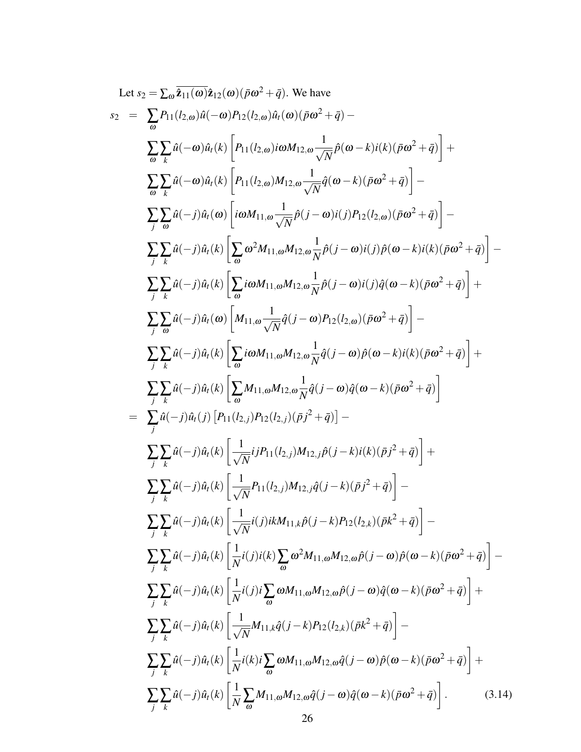<span id="page-30-0"></span>Let 
$$
s_2 = \sum_{\omega} \overline{\rho_{11}(t_2,\omega)} \hat{a}(\omega) (\bar{\rho}\omega^2 + \bar{q})
$$
. We have  
\n
$$
s_2 = \sum_{\omega} P_{11}(t_2,\omega) \hat{a}(-\omega) P_{12}(t_2,\omega) \hat{a}(\omega) (\bar{\rho}\omega^2 + \bar{q}) -
$$
\n
$$
\sum_{\omega} \sum_{k} \hat{a}(-\omega) \hat{a}_{k}(k) \left[ P_{11}(t_2,\omega) i\omega M_{12,\omega} \frac{1}{\sqrt{N}} \hat{\rho}(\omega - k) i(k) (\bar{\rho}\omega^2 + \bar{q}) \right] +
$$
\n
$$
\sum_{\omega} \sum_{k} \hat{a}(-\omega) \hat{a}_{k}(k) \left[ P_{11}(t_2,\omega) M_{12,\omega} \frac{1}{\sqrt{N}} \hat{\rho}(\omega - k) (\bar{\rho}\omega^2 + \bar{q}) \right] -
$$
\n
$$
\sum_{j} \sum_{\omega} \hat{a}(-j) \hat{a}_{i}(k) \left[ \sum_{\omega} \omega^2 M_{11,\omega} M_{12,\omega} \frac{1}{\sqrt{N}} \hat{\rho}(-\omega) i(j) \hat{\rho}(\omega - k) i(k) (\bar{\rho}\omega^2 + \bar{q}) \right] -
$$
\n
$$
\sum_{j} \sum_{k} \hat{a}(-j) \hat{a}_{i}(k) \left[ \sum_{\omega} i\omega M_{11,\omega} M_{12,\omega} \frac{1}{N} \hat{\rho}(j - \omega) i(j) \hat{\rho}(\omega - k) i(k) (\bar{\rho}\omega^2 + \bar{q}) \right] +
$$
\n
$$
\sum_{j} \sum_{k} \hat{a}(-j) \hat{a}_{i}(k) \left[ \sum_{\omega} i\omega M_{11,\omega} M_{12,\omega} \frac{1}{N} \hat{\rho}(j - \omega) i(j) \hat{\rho}(\omega - k) (\bar{\rho}\omega^2 + \bar{q}) \right] +
$$
\n
$$
\sum_{j} \sum_{k} \hat{a}(-j) \hat{a}_{i}(k) \left[ \sum_{\omega} i\omega M_{11,\omega} M_{12,\omega} \frac{1}{N} \hat{q}(j - \omega) \hat{\rho}(\omega - k) i(k) (\bar{\rho}\
$$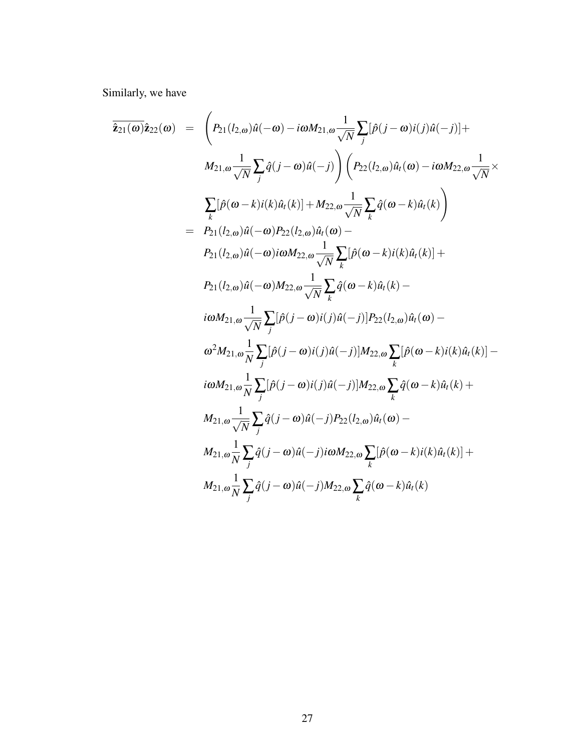Similarly, we have

$$
\hat{a}_{21}(\omega)\hat{a}_{22}(\omega) = \left(P_{21}(l_{2,\omega})\hat{u}(-\omega) - i\omega M_{21,\omega}\frac{1}{\sqrt{N}}\sum_{j}[\hat{p}(j-\omega)i(j)\hat{u}(-j)] + M_{21,\omega}\frac{1}{\sqrt{N}}\sum_{j}\hat{q}(j-\omega)\hat{u}(-j)\right)\left(P_{22}(l_{2,\omega})\hat{u}_{t}(\omega) - i\omega M_{22,\omega}\frac{1}{\sqrt{N}}\right) \times
$$
\n
$$
\sum_{k}[\hat{p}(\omega-k)i(k)\hat{u}_{t}(k)] + M_{22,\omega}\frac{1}{\sqrt{N}}\sum_{k}\hat{q}(\omega-k)\hat{u}_{t}(k)\right)
$$
\n
$$
= P_{21}(l_{2,\omega})\hat{u}(-\omega)P_{22}(l_{2,\omega})\hat{u}_{t}(\omega) - P_{21}(l_{2,\omega})\hat{u}(-\omega)i\omega M_{22,\omega}\frac{1}{\sqrt{N}}\sum_{k}[\hat{p}(\omega-k)i(k)\hat{u}_{t}(k)] + P_{21}(l_{2,\omega})\hat{u}(-\omega)M_{22,\omega}\frac{1}{\sqrt{N}}\sum_{k}[\hat{q}(\omega-k)\hat{u}_{t}(k) - i\omega M_{21,\omega}\frac{1}{\sqrt{N}}\sum_{j}[\hat{p}(j-\omega)i(j)\hat{u}(-j)]P_{22}(l_{2,\omega})\hat{u}_{t}(\omega) -
$$
\n
$$
\omega^{2}M_{21,\omega}\frac{1}{N}\sum_{j}[\hat{p}(j-\omega)i(j)\hat{u}(-j)]M_{22,\omega}\sum_{k}[\hat{p}(\omega-k)i(k)\hat{u}_{t}(k)] - i\omega M_{21,\omega}\frac{1}{N}\sum_{j}[\hat{p}(j-\omega)i(j)\hat{u}(-j)]M_{22,\omega}\sum_{k}\hat{q}(\omega-k)\hat{u}_{t}(k) +
$$
\n
$$
M_{21,\omega}\frac{1}{\sqrt{N}}\sum_{j}\hat{q}(j-\omega)\hat{u}(-j)P_{22}(l_{2,\omega})\hat{u}_{t}(\omega) -
$$
\n
$$
M_{21,\omega}\frac{1}{N}\sum_{j}\hat{q}(j-\omega)\hat{u}(-j)\omega M_{22,\omega}\sum_{k}[\hat{p}(\omega-k
$$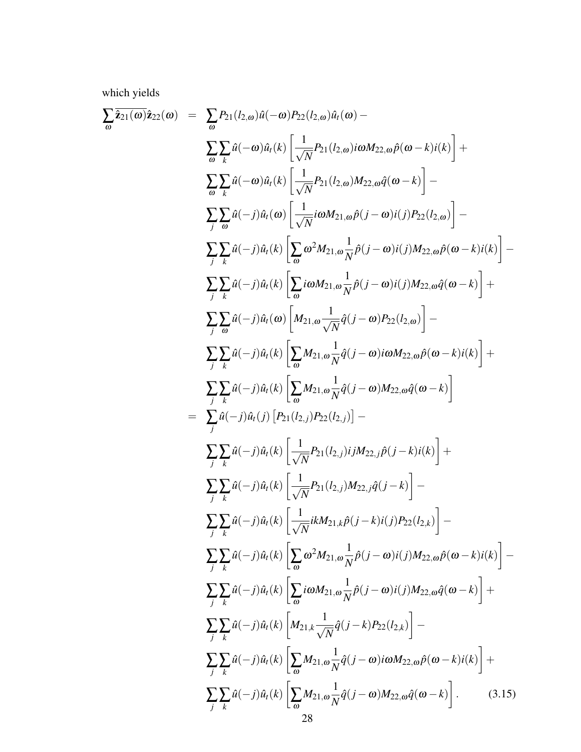which yields

<span id="page-32-0"></span>
$$
\sum_{\omega} \tilde{z}_{21}(\omega) \tilde{z}_{22}(\omega) = \sum_{\omega} P_{21}(l_{2,\omega})\hat{u}(-\omega)P_{22}(l_{2,\omega})\hat{u}_{t}(\omega) - \sum_{\omega} \sum_{k} \hat{u}(-\omega)\hat{u}_{t}(k) \left[ \frac{1}{\sqrt{N}} P_{21}(l_{2,\omega})i\omega M_{22,\omega}\hat{p}(\omega-k)i(k) \right] + \sum_{\omega} \sum_{k} \hat{u}(-\omega)\hat{u}_{t}(k) \left[ \frac{1}{\sqrt{N}} P_{21}(l_{2,\omega})M_{22,\omega}\hat{q}(\omega-k) \right] - \sum_{j} \sum_{\omega} \hat{u}(-j)\hat{u}_{t}(\omega) \left[ \frac{1}{\sqrt{N}}i\omega M_{21,\omega}\hat{p}(j-\omega)i(j)P_{22}(l_{2,\omega}) \right] - \sum_{j} \sum_{k} \hat{u}(-j)\hat{u}_{t}(k) \left[ \sum_{\omega} \omega^{2} M_{21,\omega} \frac{1}{N} \hat{p}(j-\omega)i(j)M_{22,\omega}\hat{p}(\omega-k)i(k) \right] - \sum_{j} \sum_{k} \hat{u}(-j)\hat{u}_{t}(k) \left[ \sum_{\omega} i\omega M_{21,\omega} \frac{1}{N} \hat{p}(j-\omega)i(j)M_{22,\omega}\hat{q}(\omega-k) \right] + \sum_{j} \sum_{\omega} \hat{u}(-j)\hat{u}_{t}(\omega) \left[ M_{21,\omega} \frac{1}{\sqrt{N}} \hat{q}(j-\omega) B_{2}(l_{2,\omega}) \right] - \sum_{j} \sum_{k} \hat{u}(-j)\hat{u}_{t}(k) \left[ \sum_{\omega} M_{21,\omega} \frac{1}{N} \hat{q}(j-\omega) B_{22}(\omega_{2,\omega}) \right] - \sum_{j} \sum_{k} \hat{u}(-j)\hat{u}_{t}(j) \left[ \sum_{\omega} M_{21,\omega} \frac{1}{N} \hat{q}(j-\omega) M_{22,\omega} \hat{q}(\omega-k) \right] + \sum_{j} \sum_{k} \hat{u}(-j)\hat{u}_{t}(k) \left[ \sum_{\omega} M_{21,\omega} \frac{1}{N} \hat{q}(j-\omega) M_{22,\omega} \hat
$$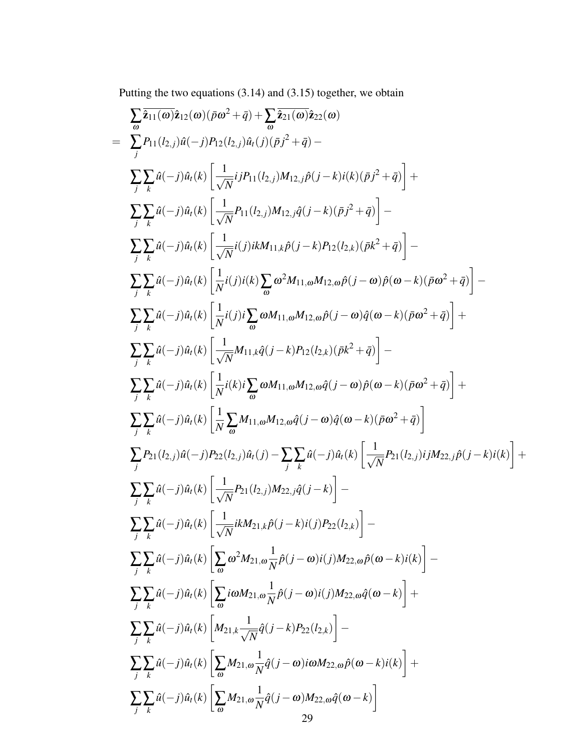Putting the two equations [\(3.14\)](#page-30-0) and [\(3.15\)](#page-32-0) together, we obtain

$$
\sum_{\omega} \sum_{\omega} \hat{I}_{11}(\omega) \hat{I}_{12}(\omega) (\bar{p} \omega^{2} + \bar{q}) + \sum_{\omega} \hat{I}_{21}(\omega) \hat{I}_{22}(\omega) \n= \sum_{\omega} P_{11}(t_{2,j}) \hat{u}(-j) P_{12}(t_{2,j}) \hat{u}_{i}(j) (\bar{p}_{j}^{2} + \bar{q}) -\n\sum_{\omega} \sum_{k} \hat{u}(-j) \hat{u}_{i}(k) \left[ \frac{1}{\sqrt{N}} i P_{11}(t_{2,j}) M_{12,j} \hat{p}(j-k) i(k) (\bar{p}_{j}^{2} + \bar{q}) \right] +\n\sum_{\omega} \sum_{k} \hat{u}(-j) \hat{u}_{i}(k) \left[ \frac{1}{\sqrt{N}} P_{11}(t_{2,j}) M_{12,j} \hat{q}(j-k) (\bar{p}_{j}^{2} + \bar{q}) \right] -\n\sum_{\omega} \sum_{k} \hat{u}(-j) \hat{u}_{i}(k) \left[ \frac{1}{\sqrt{N}} i(j) i k M_{11,k} \hat{p}(j-k) P_{12}(t_{2,k}) (\bar{p}k^{2} + \bar{q}) \right] -\n\sum_{\omega} \sum_{k} \hat{u}(-j) \hat{u}_{i}(k) \left[ \frac{1}{N} i(j) i(k) \sum_{\omega} \omega^{2} M_{11,\omega} M_{12,\omega} \hat{p}(j-\omega) \hat{p}(\omega-k) (\bar{p}\omega^{2} + \bar{q}) \right] -\n\sum_{\omega} \sum_{k} \hat{u}(-j) \hat{u}_{i}(k) \left[ \frac{1}{N} i(j) i \sum_{\omega} \omega M_{11,\omega} M_{12,\omega} \hat{p}(j-\omega) \hat{q}(\omega-k) (\bar{p}\omega^{2} + \bar{q}) \right] +\n\sum_{\omega} \sum_{k} \hat{u}(-j) \hat{u}_{i}(k) \left[ \frac{1}{N} i(k) i \sum_{\omega} \omega M_{11,\omega} M_{12,\omega} \hat{p}(j-\omega) \hat{p}(\omega-k) (\bar{p}\omega^{2} + \bar{q}) \right] +\n\sum_{\omega} \sum_{k} \hat{u}(-
$$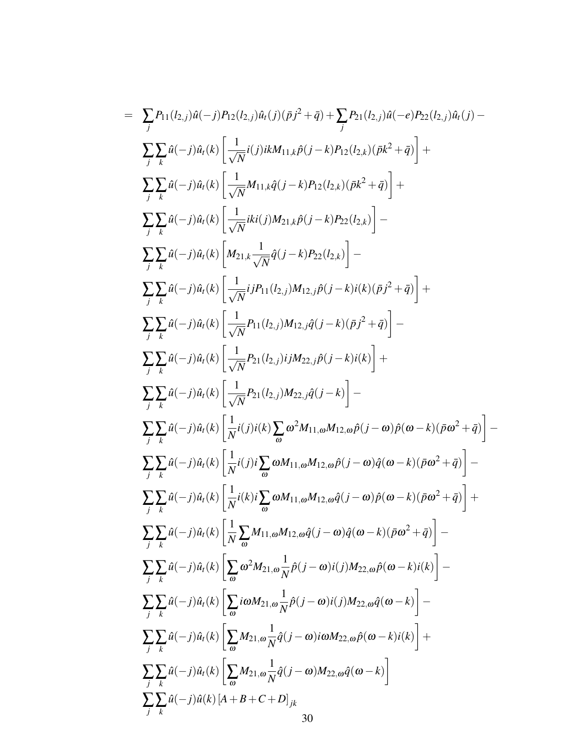$$
= \sum_{j} P_{11}(t_{2,j})\hat{u}(-j)P_{12}(t_{2,j})\hat{u}_{t}(j)(\bar{p}j^{2}+\bar{q}) + \sum_{j} P_{11}(t_{2,j})\hat{u}(-e)P_{22}(t_{2,j})\hat{u}_{t}(j) -
$$
\n
$$
\sum_{j} \sum_{k} \hat{u}(-j)\hat{u}_{t}(k) \left[ \frac{1}{\sqrt{N}} i(j)ikM_{11,k}\hat{p}(j-k)P_{12}(t_{2,k})(\bar{p}k^{2}+\bar{q}) \right] +
$$
\n
$$
\sum_{j} \sum_{k} \hat{u}(-j)\hat{u}_{t}(k) \left[ \frac{1}{\sqrt{N}} M_{11,k}\hat{q}(j-k)P_{12}(t_{2,k})(\bar{p}k^{2}+\bar{q}) \right] +
$$
\n
$$
\sum_{j} \sum_{k} \hat{u}(-j)\hat{u}_{t}(k) \left[ \frac{1}{\sqrt{N}} iki(j)M_{21,k}\hat{p}(j-k)P_{22}(t_{2,k}) \right] -
$$
\n
$$
\sum_{j} \sum_{k} \hat{u}(-j)\hat{u}_{t}(k) \left[ \frac{1}{\sqrt{N}} i jP_{11}(t_{2,j})M_{12,j}\hat{p}(j-k) i(k) (\bar{p}j^{2}+\bar{q}) \right] +
$$
\n
$$
\sum_{j} \sum_{k} \hat{u}(-j)\hat{u}_{t}(k) \left[ \frac{1}{\sqrt{N}} P_{11}(t_{2,j})M_{12,j}\hat{q}(j-k) j(k) \right] +
$$
\n
$$
\sum_{j} \sum_{k} \hat{u}(-j)\hat{u}_{t}(k) \left[ \frac{1}{\sqrt{N}} P_{21}(t_{2,j}) i jM_{22,j}\hat{q}(j-k) \right] -
$$
\n
$$
\sum_{j} \sum_{k} \hat{u}(-j)\hat{u}_{t}(k) \left[ \frac{1}{\sqrt{N}} P_{21}(t_{2,j}) i jM_{22,j}\hat{q}(j-k) \right] -
$$
\n
$$
\sum_{j} \sum_{k} \hat{u}(-j)\hat{u}_{t}(k) \left[ \frac{1}{\sqrt{N}} P_{21}(t_{2,j})M_{22,j}\hat{q}(j-k)
$$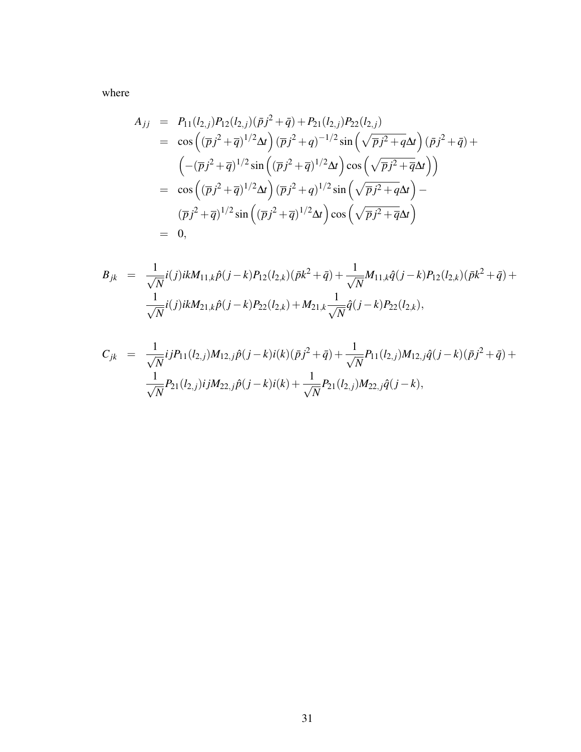where

$$
A_{jj} = P_{11}(l_{2,j})P_{12}(l_{2,j})(\bar{p}j^{2} + \bar{q}) + P_{21}(l_{2,j})P_{22}(l_{2,j})
$$
  
\n
$$
= \cos\left((\bar{p}j^{2} + \bar{q})^{1/2}\Delta t\right)(\bar{p}j^{2} + q)^{-1/2}\sin\left(\sqrt{\bar{p}j^{2} + q}\Delta t\right)(\bar{p}j^{2} + \bar{q}) +
$$
  
\n
$$
\left(-(\bar{p}j^{2} + \bar{q})^{1/2}\sin\left((\bar{p}j^{2} + \bar{q})^{1/2}\Delta t\right)\cos\left(\sqrt{\bar{p}j^{2} + \bar{q}}\Delta t\right)\right)
$$
  
\n
$$
= \cos\left((\bar{p}j^{2} + \bar{q})^{1/2}\Delta t\right)(\bar{p}j^{2} + q)^{1/2}\sin\left(\sqrt{\bar{p}j^{2} + q}\Delta t\right) -
$$
  
\n
$$
(\bar{p}j^{2} + \bar{q})^{1/2}\sin\left((\bar{p}j^{2} + \bar{q})^{1/2}\Delta t\right)\cos\left(\sqrt{\bar{p}j^{2} + \bar{q}}\Delta t\right)
$$
  
\n
$$
= 0,
$$

$$
B_{jk} = \frac{1}{\sqrt{N}} i(j) ik M_{11,k} \hat{p}(j-k) P_{12}(l_{2,k}) (\bar{p}k^2 + \bar{q}) + \frac{1}{\sqrt{N}} M_{11,k} \hat{q}(j-k) P_{12}(l_{2,k}) (\bar{p}k^2 + \bar{q}) + \frac{1}{\sqrt{N}} i(j) ik M_{21,k} \hat{p}(j-k) P_{22}(l_{2,k}) + M_{21,k} \frac{1}{\sqrt{N}} \hat{q}(j-k) P_{22}(l_{2,k}),
$$

$$
C_{jk} = \frac{1}{\sqrt{N}} i j P_{11}(l_{2,j}) M_{12,j} \hat{p}(j-k) i(k) (\bar{p} j^2 + \bar{q}) + \frac{1}{\sqrt{N}} P_{11}(l_{2,j}) M_{12,j} \hat{q}(j-k) (\bar{p} j^2 + \bar{q}) + \frac{1}{\sqrt{N}} P_{21}(l_{2,j}) i j M_{22,j} \hat{p}(j-k) i(k) + \frac{1}{\sqrt{N}} P_{21}(l_{2,j}) M_{22,j} \hat{q}(j-k),
$$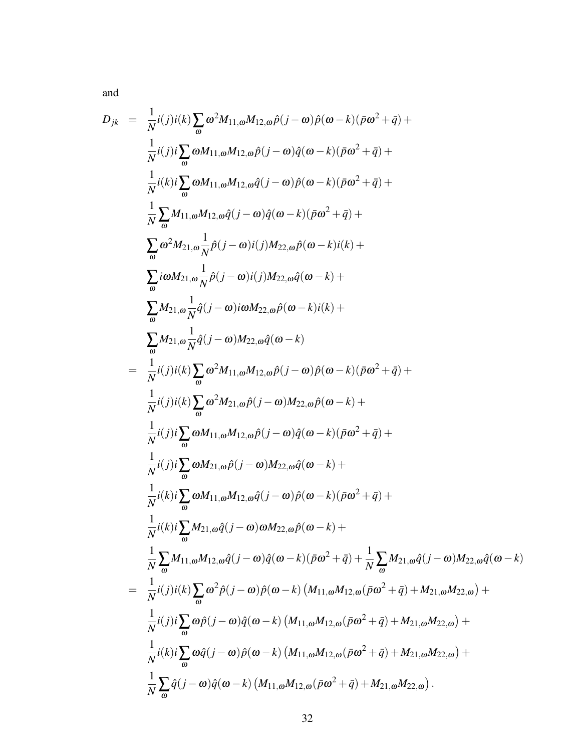and

$$
D_{jk} = \frac{1}{N}i(j)i(k)\sum_{\omega} \omega^{2}M_{11,\omega}M_{12,\omega}\hat{p}(j-\omega)\hat{p}(\omega-k)(\bar{p}\omega^{2}+\bar{q}) +
$$
  
\n
$$
\frac{1}{N}i(j)i\sum_{\omega} \omega M_{11,\omega}M_{12,\omega}\hat{p}(j-\omega)\hat{q}(\omega-k)(\bar{p}\omega^{2}+\bar{q}) +
$$
  
\n
$$
\frac{1}{N}(k)i\sum_{\omega} \omega M_{11,\omega}M_{12,\omega}\hat{q}(j-\omega)\hat{p}(\omega-k)(\bar{p}\omega^{2}+\bar{q}) +
$$
  
\n
$$
\frac{1}{N}\sum_{\omega} M_{11,\omega}M_{12,\omega}\hat{q}(j-\omega)\hat{q}(\omega-k)(\bar{p}\omega^{2}+\bar{q}) +
$$
  
\n
$$
\sum_{\omega} \omega^{2}M_{21,\omega}\frac{1}{N}\hat{p}(j-\omega)i(j)M_{22,\omega}\hat{p}(\omega-k)i(k) +
$$
  
\n
$$
\sum_{\omega} i\omega M_{21,\omega}\frac{1}{N}\hat{q}(j-\omega)i\omega M_{22,\omega}\hat{q}(\omega-k) +
$$
  
\n
$$
\sum_{\omega} M_{21,\omega}\frac{1}{N}\hat{q}(j-\omega)i\omega M_{22,\omega}\hat{p}(\omega-k)i(k) +
$$
  
\n
$$
\sum_{\omega} M_{21,\omega}\frac{1}{N}\hat{q}(j-\omega)M_{22,\omega}\hat{p}(\omega-k) +
$$
  
\n
$$
\frac{1}{N}i(j)i(k)\sum_{\omega} \omega^{2}M_{11,\omega}M_{12,\omega}\hat{p}(j-\omega)\hat{p}(\omega-k)(\bar{p}\omega^{2}+\bar{q}) +
$$
  
\n
$$
\frac{1}{N}i(j)i\sum_{\omega} \omega M_{11,\omega}M_{12,\omega}\hat{p}(j-\omega)\hat{q}(\omega-k) +
$$
  
\n
$$
\frac{1}{N}i(k)i\sum_{\omega} \omega M_{21,\omega}\hat{p}(j-\omega)M_{22,\omega}\hat{q}(\omega-k) +
$$
  
\n
$$
\frac{1}{N}i(k)i\sum_{\omega} \omega M_{21,\omega}\hat{p}(
$$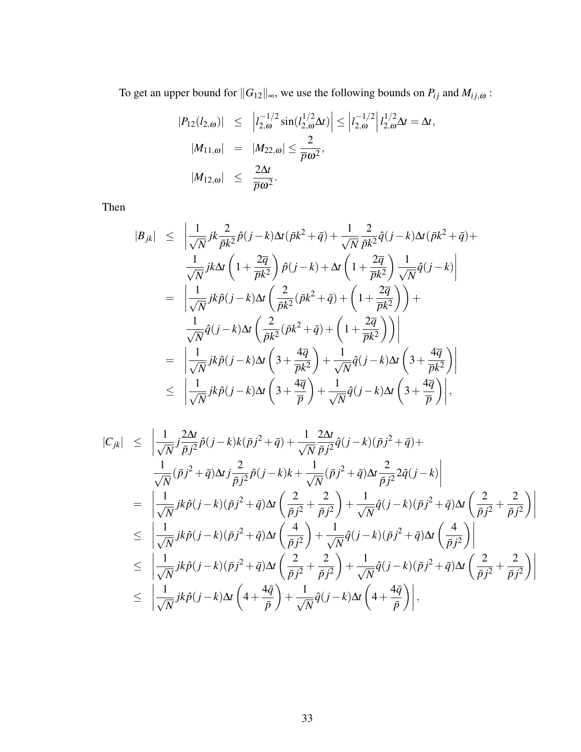To get an upper bound for  $||G_{12}||_{\infty}$ , we use the following bounds on  $P_{ij}$  and  $M_{ij,\omega}$ :

$$
|P_{12}(l_{2,\omega})| \le |l_{2,\omega}^{-1/2} \sin(l_{2,\omega}^{1/2} \Delta t)| \le |l_{2,\omega}^{-1/2}| l_{2,\omega}^{1/2} \Delta t = \Delta t,
$$
  
\n
$$
|M_{11,\omega}| = |M_{22,\omega}| \le \frac{2}{\overline{p}\omega^2},
$$
  
\n
$$
|M_{12,\omega}| \le \frac{2\Delta t}{\overline{p}\omega^2}.
$$

Then

$$
|B_{jk}| \leq \left| \frac{1}{\sqrt{N}} jk \frac{2}{\bar{p}k^2} \hat{p}(j-k) \Delta t (\bar{p}k^2 + \bar{q}) + \frac{1}{\sqrt{N}} \frac{2}{\bar{p}k^2} \hat{q}(j-k) \Delta t (\bar{p}k^2 + \bar{q}) + \frac{1}{\sqrt{N}} jk \Delta t \left( 1 + \frac{2\bar{q}}{\bar{p}k^2} \right) \hat{p}(j-k) + \Delta t \left( 1 + \frac{2\bar{q}}{\bar{p}k^2} \right) \frac{1}{\sqrt{N}} \hat{q}(j-k) \right|
$$
  
\n
$$
= \left| \frac{1}{\sqrt{N}} jk \hat{p}(j-k) \Delta t \left( \frac{2}{\bar{p}k^2} (\bar{p}k^2 + \bar{q}) + \left( 1 + \frac{2\bar{q}}{\bar{p}k^2} \right) \right) + \frac{1}{\sqrt{N}} \hat{q}(j-k) \Delta t \left( \frac{2}{\bar{p}k^2} (\bar{p}k^2 + \bar{q}) + \left( 1 + \frac{2\bar{q}}{\bar{p}k^2} \right) \right) \right|
$$
  
\n
$$
= \left| \frac{1}{\sqrt{N}} jk \hat{p}(j-k) \Delta t \left( 3 + \frac{4\bar{q}}{\bar{p}k^2} \right) + \frac{1}{\sqrt{N}} \hat{q}(j-k) \Delta t \left( 3 + \frac{4\bar{q}}{\bar{p}k^2} \right) \right|
$$
  
\n
$$
\leq \left| \frac{1}{\sqrt{N}} jk \hat{p}(j-k) \Delta t \left( 3 + \frac{4\bar{q}}{\bar{p}} \right) + \frac{1}{\sqrt{N}} \hat{q}(j-k) \Delta t \left( 3 + \frac{4\bar{q}}{\bar{p}} \right) \right|,
$$

$$
\begin{array}{lcl} |C_{jk}| & \leq & \left| \frac{1}{\sqrt{N}} j \frac{2\Delta t}{\bar{p} j^2} \hat{p}(j-k) k(\bar{p} j^2 + \bar{q}) + \frac{1}{\sqrt{N}} \frac{2\Delta t}{\bar{p} j^2} \hat{q}(j-k) (\bar{p} j^2 + \bar{q}) + \\ & & \frac{1}{\sqrt{N}} (\bar{p} j^2 + \bar{q}) \Delta t j \frac{2}{\bar{p} j^2} \hat{p}(j-k) k + \frac{1}{\sqrt{N}} (\bar{p} j^2 + \bar{q}) \Delta t \frac{2}{\bar{p} j^2} 2 \hat{q}(j-k) \right| \\ & = & \left| \frac{1}{\sqrt{N}} j k \hat{p}(j-k) (\bar{p} j^2 + \bar{q}) \Delta t \left( \frac{2}{\bar{p} j^2} + \frac{2}{\bar{p} j^2} \right) + \frac{1}{\sqrt{N}} \hat{q}(j-k) (\bar{p} j^2 + \bar{q}) \Delta t \left( \frac{2}{\bar{p} j^2} + \frac{2}{\bar{p} j^2} \right) \right| \\ & \leq & \left| \frac{1}{\sqrt{N}} j k \hat{p}(j-k) (\bar{p} j^2 + \bar{q}) \Delta t \left( \frac{4}{\bar{p} j^2} \right) + \frac{1}{\sqrt{N}} \hat{q}(j-k) (\bar{p} j^2 + \bar{q}) \Delta t \left( \frac{4}{\bar{p} j^2} \right) \right| \\ & \leq & \left| \frac{1}{\sqrt{N}} j k \hat{p}(j-k) (\bar{p} j^2 + \bar{q}) \Delta t \left( \frac{2}{\bar{p} j^2} + \frac{2}{\bar{p} j^2} \right) + \frac{1}{\sqrt{N}} \hat{q}(j-k) (\bar{p} j^2 + \bar{q}) \Delta t \left( \frac{2}{\bar{p} j^2} + \frac{2}{\bar{p} j^2} \right) \right| \\ & \leq & \left| \frac{1}{\sqrt{N}} j k \hat{p}(j-k) \Delta t \left( 4 + \frac{4 \bar{q}}{\bar{p}} \right) + \frac{1}{\sqrt{N}} \hat{q}(j-k) \Delta t \left( 4 + \frac{4 \bar{q}}{\bar{
$$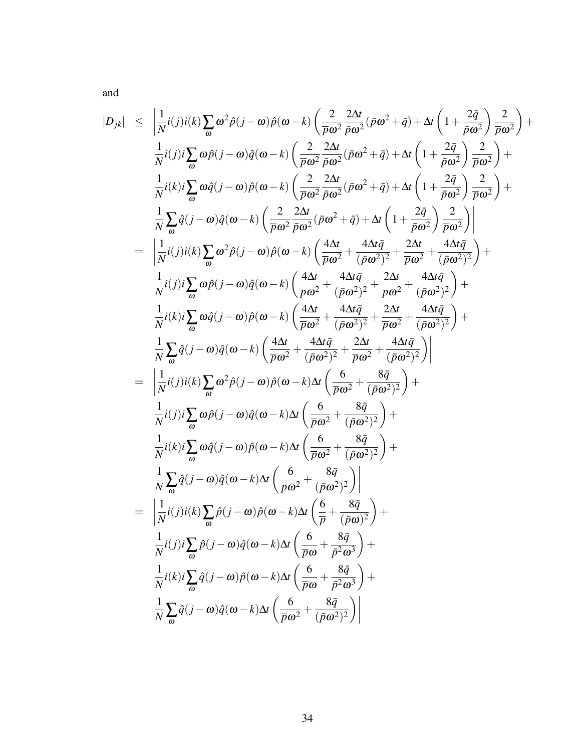and

$$
|D_{jk}| \leq \left| \frac{1}{N} i(j)i(k) \sum_{\omega} \omega^2 \hat{p}(j-\omega) \hat{p}(\omega-k) \left( \frac{2}{\bar{p}\omega^2} \frac{2\Delta t}{\bar{p}\omega^2} (\bar{p}\omega^2+\bar{q}) + \Delta t \left( 1 + \frac{2\bar{q}}{\bar{p}\omega^2} \right) \frac{2}{\bar{p}\omega^2} \right) + \frac{1}{N} i(j)i \sum_{\omega} \omega \hat{p}(j-\omega) \hat{q}(\omega-k) \left( \frac{2}{\bar{p}\omega^2} \frac{2\Delta t}{\bar{p}\omega^2} (\bar{p}\omega^2+\bar{q}) + \Delta t \left( 1 + \frac{2\bar{q}}{\bar{p}\omega^2} \right) \frac{2}{\bar{p}\omega^2} \right) + \frac{1}{N} i(k)i \sum_{\omega} \omega \hat{q}(j-\omega) \hat{p}(\omega-k) \left( \frac{2}{\bar{p}\omega^2} \frac{2\Delta t}{\bar{p}\omega^2} (\bar{p}\omega^2+\bar{q}) + \Delta t \left( 1 + \frac{2\bar{q}}{\bar{p}\omega^2} \right) \frac{2}{\bar{p}\omega^2} \right) + \frac{1}{N} \sum_{\omega} \hat{q}(j-\omega) \hat{q}(\omega-k) \left( \frac{2}{\bar{p}\omega^2} \frac{2\Delta t}{\bar{p}\omega^2} (\bar{p}\omega^2+\bar{q}) + \Delta t \left( 1 + \frac{2\bar{q}}{\bar{p}\omega^2} \right) \frac{2}{\bar{p}\omega^2} \right) + \frac{1}{N} i(j)i (k) \sum_{\omega} \omega^2 \hat{p}(j-\omega) \hat{p}(\omega-k) \left( \frac{4\Delta t}{\bar{p}\omega^2} + \frac{4\Delta t \bar{q}}{(\bar{p}\omega^2)^2} + \frac{2\Delta t}{\bar{p}\omega^2} + \frac{4\Delta t \bar{q}}{(\bar{p}\omega^2)^2} \right) + \frac{1}{N} i(j)i \sum_{\omega} \omega \hat{q}(j-\omega) \hat{q}(\omega-k) \left( \frac{4\Delta t}{\bar{p}\omega^2} + \frac{4\Delta t \bar{q}}{(\bar{p}\omega^2)^2} + \frac{4\Delta
$$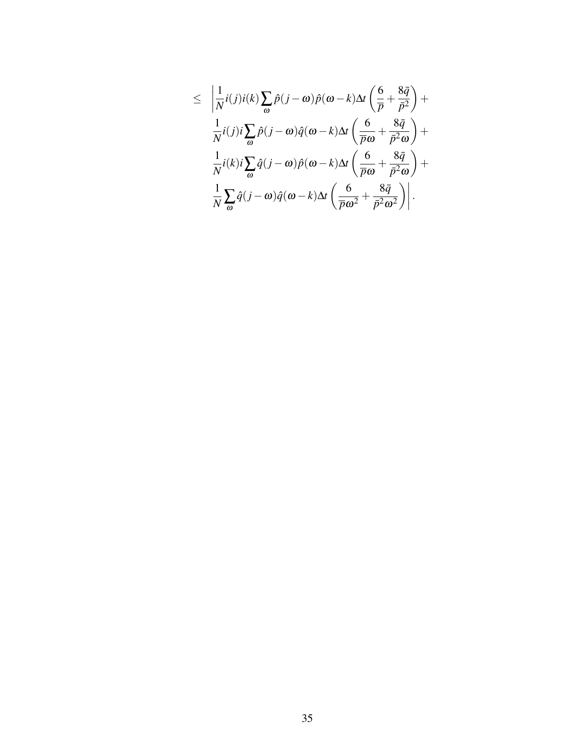$$
\leq \left| \frac{1}{N} i(j) i(k) \sum_{\omega} \hat{p}(j - \omega) \hat{p}(\omega - k) \Delta t \left( \frac{6}{\overline{p}} + \frac{8\overline{q}}{\overline{p}^2} \right) + \frac{1}{N} i(j) i \sum_{\omega} \hat{p}(j - \omega) \hat{q}(\omega - k) \Delta t \left( \frac{6}{\overline{p}\omega} + \frac{8\overline{q}}{\overline{p}^2 \omega} \right) + \frac{1}{N} i(k) i \sum_{\omega} \hat{q}(j - \omega) \hat{p}(\omega - k) \Delta t \left( \frac{6}{\overline{p}\omega} + \frac{8\overline{q}}{\overline{p}^2 \omega} \right) + \frac{1}{N} \sum_{\omega} \hat{q}(j - \omega) \hat{q}(\omega - k) \Delta t \left( \frac{6}{\overline{p}\omega^2} + \frac{8\overline{q}}{\overline{p}^2 \omega^2} \right) \right|.
$$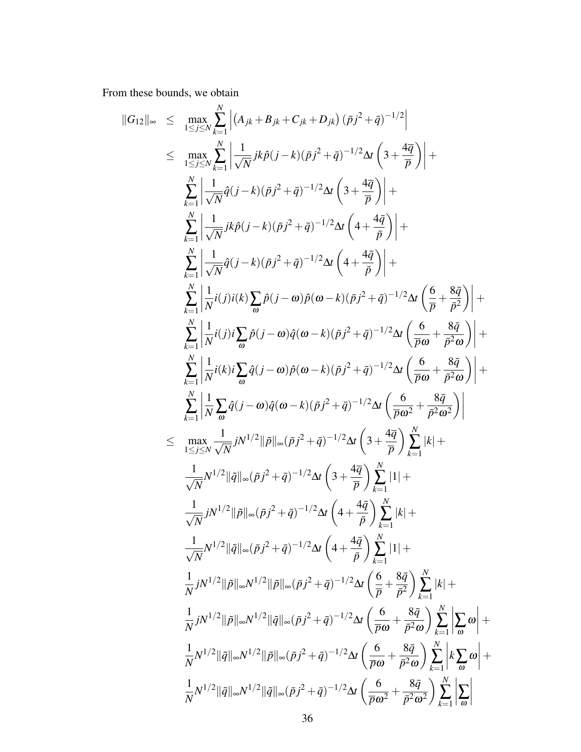From these bounds, we obtain

$$
||G_{12}||_{\infty} \leq \max_{1 \leq j \leq N} \sum_{k=1}^{N} |(A_{jk} + B_{jk} + C_{jk} + D_{jk})(\bar{p}_{j}^{2} + \bar{q})^{-1/2}|
$$
  
\n
$$
\leq \max_{1 \leq j \leq N} \sum_{k=1}^{N} \left| \frac{1}{\sqrt{N}} j k \hat{p}(j-k)(\bar{p}_{j}^{2} + \bar{q})^{-1/2} \Delta t \left(3 + \frac{4\bar{q}}{\bar{p}}\right) \right| +
$$
  
\n
$$
\sum_{k=1}^{N} \left| \frac{1}{\sqrt{N}} j k \hat{p}(j-k)(\bar{p}_{j}^{2} + \bar{q})^{-1/2} \Delta t \left(4 + \frac{4\bar{q}}{\bar{p}}\right) \right| +
$$
  
\n
$$
\sum_{k=1}^{N} \left| \frac{1}{\sqrt{N}} j k \hat{p}(j-k)(\bar{p}_{j}^{2} + \bar{q})^{-1/2} \Delta t \left(4 + \frac{4\bar{q}}{\bar{p}}\right) \right| +
$$
  
\n
$$
\sum_{k=1}^{N} \left| \frac{1}{N} i(j) i(k) \sum_{\omega} \hat{p}(j-\omega) \hat{p}(\omega-k) (\bar{p}_{j}^{2} + \bar{q})^{-1/2} \Delta t \left(\frac{6}{\bar{p}} + \frac{8\bar{q}}{\bar{p}^{2}}\right) \right| +
$$
  
\n
$$
\sum_{k=1}^{N} \left| \frac{1}{N} i(j) i \sum_{\omega} \hat{p}(j-\omega) \hat{q}(\omega-k) (\bar{p}_{j}^{2} + \bar{q})^{-1/2} \Delta t \left(\frac{6}{\bar{p}\omega} + \frac{8\bar{q}}{\bar{p}^{2}}\right) \right| +
$$
  
\n
$$
\sum_{k=1}^{N} \left| \frac{1}{N} i(k) i \sum_{\omega} \hat{q}(j-\omega) \hat{p}(\omega-k) (\bar{p}_{j}^{2} + \bar{q})^{-1/2} \Delta t \left(\frac{6}{\bar{p}\omega} + \frac{8\bar{q}}{\bar{p}^{2}}\right) \right| +
$$
  
\n
$$
\sum_{k
$$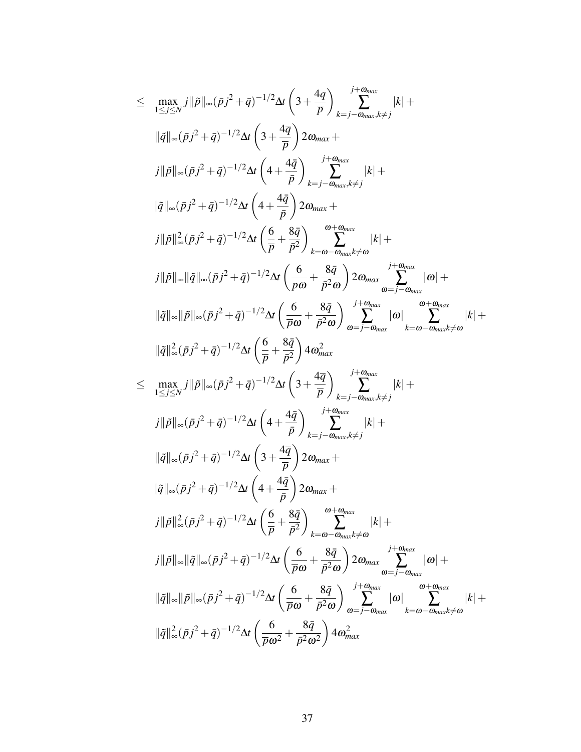$$
\leq \max_{1\leq j\leq N} j||\tilde{p}||_{\infty}(\bar{p}_{j}^{2}+\bar{q})^{-1/2}\Delta t \left(3+\frac{4\bar{q}}{\bar{p}}\right) \sum_{k=j-\omega_{max},k\neq j}^{j+\omega_{max}}|k| +
$$
\n
$$
||\tilde{q}||_{\infty}(\bar{p}_{j}^{2}+\bar{q})^{-1/2}\Delta t \left(4+\frac{4\bar{q}}{\bar{p}}\right) 2\omega_{max} +
$$
\n
$$
j||\tilde{p}||_{\infty}(\bar{p}_{j}^{2}+\bar{q})^{-1/2}\Delta t \left(4+\frac{4\bar{q}}{\bar{p}}\right) 2\omega_{max} +
$$
\n
$$
|q||_{\infty}(\bar{p}_{j}^{2}+\bar{q})^{-1/2}\Delta t \left(4+\frac{4\bar{q}}{\bar{p}}\right) 2\omega_{max} +
$$
\n
$$
j||\tilde{p}||_{\infty}(\bar{p}_{j}^{2}+\bar{q})^{-1/2}\Delta t \left(\frac{6}{\bar{p}}+\frac{8\bar{q}}{\bar{p}^{2}}\right) \sum_{k=j-\omega_{max},k\neq j}^{m-\omega_{max}}|k| +
$$
\n
$$
j||\tilde{p}||_{\infty}||\tilde{q}||_{\infty}(\bar{p}_{j}^{2}+\bar{q})^{-1/2}\Delta t \left(\frac{6}{\bar{p}\sigma}+\frac{8\bar{q}}{\bar{p}^{2}\sigma}\right) 2\omega_{max} \sum_{k=j-\omega_{max},k\neq 0}^{j+\omega_{max}}|k| +
$$
\n
$$
||\tilde{q}||_{\infty}||\tilde{p}||_{\infty}(\bar{p}_{j}^{2}+\bar{q})^{-1/2}\Delta t \left(\frac{6}{\bar{p}\sigma}+\frac{8\bar{q}}{\bar{p}^{2}\sigma}\right) 2\omega_{max} \sum_{k=j-\omega_{max},k\neq 0}^{j+\omega_{max}}|k| +
$$
\n
$$
||\tilde{q}||_{\infty}||\tilde{p}||_{\infty}(\bar{p}_{j}^{2}+\bar{q})^{-1/2}\Delta t \left(\frac{6}{\bar{p}\sigma}+\frac{8\bar{q
$$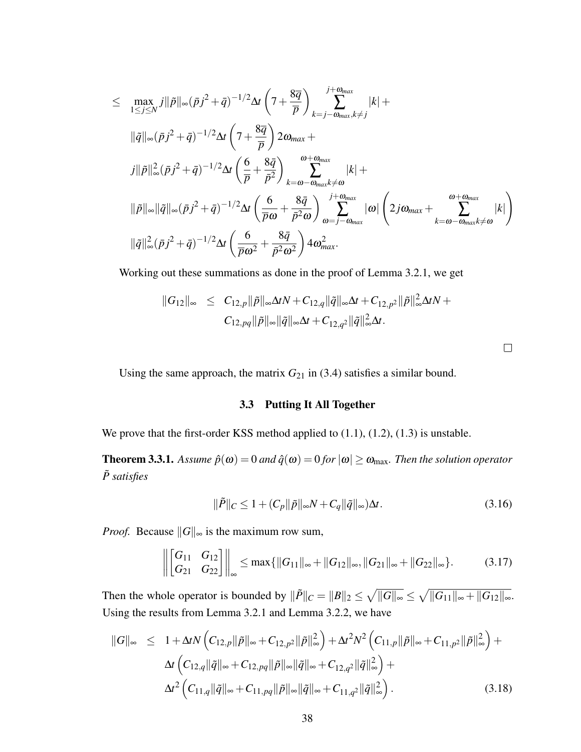$$
\leq \max_{1 \leq j \leq N} j \|\tilde{p}\|_{\infty} (\bar{p}j^{2} + \bar{q})^{-1/2} \Delta t \left(7 + \frac{8\bar{q}}{\bar{p}}\right) \sum_{k=j-\omega_{max},k\neq j}^{j+\omega_{max}} |k| +
$$
\n
$$
\|\tilde{q}\|_{\infty} (\bar{p}j^{2} + \bar{q})^{-1/2} \Delta t \left(7 + \frac{8\bar{q}}{\bar{p}}\right) 2\omega_{max} +
$$
\n
$$
j \|\tilde{p}\|_{\infty}^{2} (\bar{p}j^{2} + \bar{q})^{-1/2} \Delta t \left(\frac{6}{\bar{p}} + \frac{8\bar{q}}{\bar{p}^{2}}\right) \sum_{k=\omega-\omega_{max},k\neq\omega}^{\omega+\omega_{max}} |k| +
$$
\n
$$
\|\tilde{p}\|_{\infty} \|\tilde{q}\|_{\infty} (\bar{p}j^{2} + \bar{q})^{-1/2} \Delta t \left(\frac{6}{\bar{p}\omega} + \frac{8\bar{q}}{\bar{p}^{2}\omega}\right) \sum_{\omega=j-\omega_{max}}^{j+\omega_{max}} |\omega| \left(2j\omega_{max} + \sum_{k=\omega-\omega_{max},k\neq\omega}^{\omega+\omega_{max}} |k|\right)
$$
\n
$$
\|\tilde{q}\|_{\infty}^{2} (\bar{p}j^{2} + \bar{q})^{-1/2} \Delta t \left(\frac{6}{\bar{p}\omega^{2}} + \frac{8\bar{q}}{\bar{p}^{2}\omega^{2}}\right) 4\omega_{max}^{2}.
$$

Working out these summations as done in the proof of Lemma 3.2.1, we get

$$
||G_{12}||_{\infty} \leq C_{12,p} ||\tilde{p}||_{\infty} \Delta t N + C_{12,q} ||\tilde{q}||_{\infty} \Delta t + C_{12,p^2} ||\tilde{p}||_{\infty}^2 \Delta t N + C_{12,pq} ||\tilde{p}||_{\infty}^2 ||\tilde{q}||_{\infty} \Delta t + C_{12,q^2} ||\tilde{q}||_{\infty}^2 \Delta t.
$$

Using the same approach, the matrix  $G_{21}$  in [\(3.4\)](#page-13-1) satisfies a similar bound.

#### 3.3 Putting It All Together

<span id="page-42-0"></span>We prove that the first-order KSS method applied to  $(1.1)$ ,  $(1.2)$ ,  $(1.3)$  is unstable.

**Theorem 3.3.1.** *Assume*  $\hat{p}(\omega) = 0$  *and*  $\hat{q}(\omega) = 0$  *for*  $|\omega| \ge \omega_{\text{max}}$ *. Then the solution operator*  $\tilde{P}$  *satisfies* 

$$
\|\tilde{P}\|_{C} \le 1 + (C_p \|\tilde{p}\|_{\infty} N + C_q \|\tilde{q}\|_{\infty}) \Delta t.
$$
\n(3.16)

 $\Box$ 

*Proof.* Because  $||G||_{\infty}$  is the maximum row sum,

$$
\left\| \begin{bmatrix} G_{11} & G_{12} \\ G_{21} & G_{22} \end{bmatrix} \right\|_{\infty} \leq \max \{ \|G_{11}\|_{\infty} + \|G_{12}\|_{\infty}, \|G_{21}\|_{\infty} + \|G_{22}\|_{\infty} \}.
$$
\n(3.17)

Then the whole operator is bounded by  $\|\tilde{P}\|_C = \|B\|_2 \le \sqrt{\|G\|_{\infty}} \le \sqrt{\|G_{11}\|_{\infty} + \|G_{12}\|_{\infty}}$ . Using the results from Lemma 3.2.1 and Lemma 3.2.2, we have

<span id="page-42-1"></span>
$$
||G||_{\infty} \leq 1 + \Delta t N \left( C_{12,p} || \tilde{p} ||_{\infty} + C_{12,p^2} || \tilde{p} ||_{\infty}^2 \right) + \Delta t^2 N^2 \left( C_{11,p} || \tilde{p} ||_{\infty} + C_{11,p^2} || \tilde{p} ||_{\infty}^2 \right) +
$$
  

$$
\Delta t \left( C_{12,q} || \tilde{q} ||_{\infty} + C_{12,pq} || \tilde{p} ||_{\infty} || \tilde{q} ||_{\infty} + C_{12,q^2} || \tilde{q} ||_{\infty}^2 \right) +
$$
  

$$
\Delta t^2 \left( C_{11,q} || \tilde{q} ||_{\infty} + C_{11,pq} || \tilde{p} ||_{\infty} || \tilde{q} ||_{\infty} + C_{11,q^2} || \tilde{q} ||_{\infty}^2 \right).
$$
 (3.18)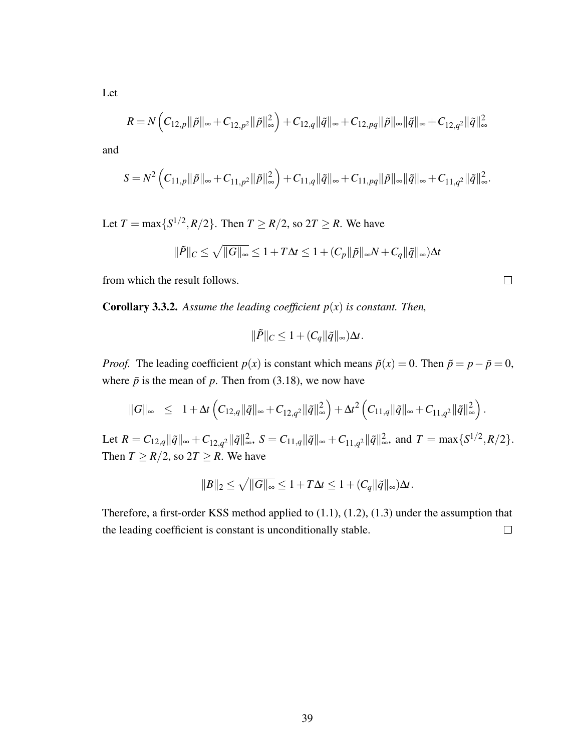Let

$$
R = N\left( C_{12,p} \|\tilde{p}\|_{\infty} + C_{12,p^2} \|\tilde{p}\|_{\infty}^2 \right) + C_{12,q} \|\tilde{q}\|_{\infty} + C_{12,pq} \|\tilde{p}\|_{\infty} \|\tilde{q}\|_{\infty} + C_{12,q^2} \|\tilde{q}\|_{\infty}^2
$$

and

$$
S = N^2 \left( C_{11,p} \|\tilde{p}\|_{\infty} + C_{11,p^2} \|\tilde{p}\|_{\infty}^2 \right) + C_{11,q} \|\tilde{q}\|_{\infty} + C_{11,pq} \|\tilde{p}\|_{\infty} \|\tilde{q}\|_{\infty} + C_{11,q^2} \|\tilde{q}\|_{\infty}^2.
$$

Let  $T = \max\{S^{1/2}, R/2\}$ . Then  $T \ge R/2$ , so  $2T \ge R$ . We have

$$
\|\tilde{P}\|_C \leq \sqrt{\|G\|_{\infty}} \leq 1 + T\Delta t \leq 1 + (C_p \|\tilde{p}\|_{\infty}N + C_q \|\tilde{q}\|_{\infty})\Delta t
$$

from which the result follows.

Corollary 3.3.2. *Assume the leading coefficient p*(*x*) *is constant. Then,*

$$
\|\tilde{P}\|_C \leq 1 + (C_q \|\tilde{q}\|_{\infty})\Delta t.
$$

*Proof.* The leading coefficient  $p(x)$  is constant which means  $\tilde{p}(x) = 0$ . Then  $\tilde{p} = p - \bar{p} = 0$ , where  $\bar{p}$  is the mean of  $p$ . Then from [\(3.18\)](#page-42-1), we now have

$$
||G||_{\infty} \leq 1 + \Delta t \left( C_{12,q} ||\tilde{q}||_{\infty} + C_{12,q^2} ||\tilde{q}||_{\infty}^2 \right) + \Delta t^2 \left( C_{11,q} ||\tilde{q}||_{\infty} + C_{11,q^2} ||\tilde{q}||_{\infty}^2 \right).
$$

Let  $R = C_{12,q} ||\tilde{q}||_{\infty} + C_{12,q^2} ||\tilde{q}||_{\infty}^2$ ,  $S = C_{11,q} ||\tilde{q}||_{\infty} + C_{11,q^2} ||\tilde{q}||_{\infty}^2$ , and  $T = \max\{S^{1/2}, R/2\}$ . Then  $T \ge R/2$ , so  $2T \ge R$ . We have

$$
||B||_2 \leq \sqrt{||G||_{\infty}} \leq 1 + T\Delta t \leq 1 + (C_q ||\tilde{q}||_{\infty})\Delta t.
$$

Therefore, a first-order KSS method applied to [\(1.1\)](#page-5-1), [\(1.2\)](#page-5-2), [\(1.3\)](#page-5-3) under the assumption that the leading coefficient is constant is unconditionally stable.  $\Box$ 

 $\Box$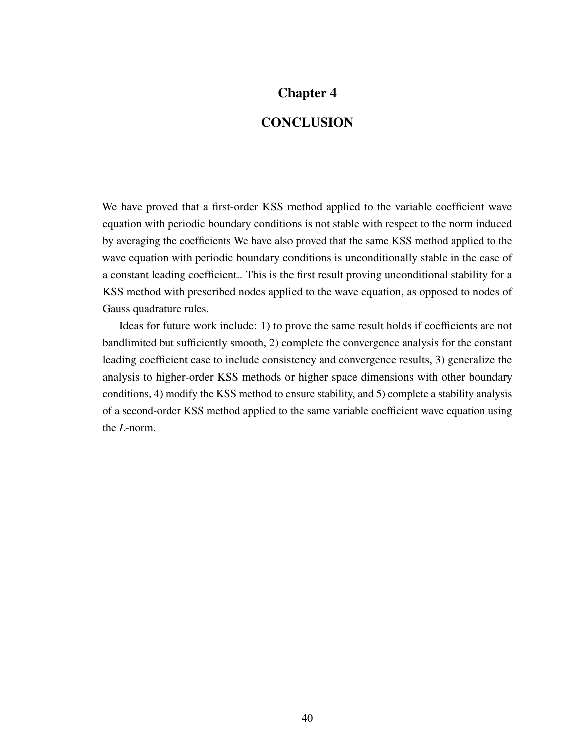## Chapter 4

## **CONCLUSION**

<span id="page-44-0"></span>We have proved that a first-order KSS method applied to the variable coefficient wave equation with periodic boundary conditions is not stable with respect to the norm induced by averaging the coefficients We have also proved that the same KSS method applied to the wave equation with periodic boundary conditions is unconditionally stable in the case of a constant leading coefficient.. This is the first result proving unconditional stability for a KSS method with prescribed nodes applied to the wave equation, as opposed to nodes of Gauss quadrature rules.

Ideas for future work include: 1) to prove the same result holds if coefficients are not bandlimited but sufficiently smooth, 2) complete the convergence analysis for the constant leading coefficient case to include consistency and convergence results, 3) generalize the analysis to higher-order KSS methods or higher space dimensions with other boundary conditions, 4) modify the KSS method to ensure stability, and 5) complete a stability analysis of a second-order KSS method applied to the same variable coefficient wave equation using the *L*-norm.